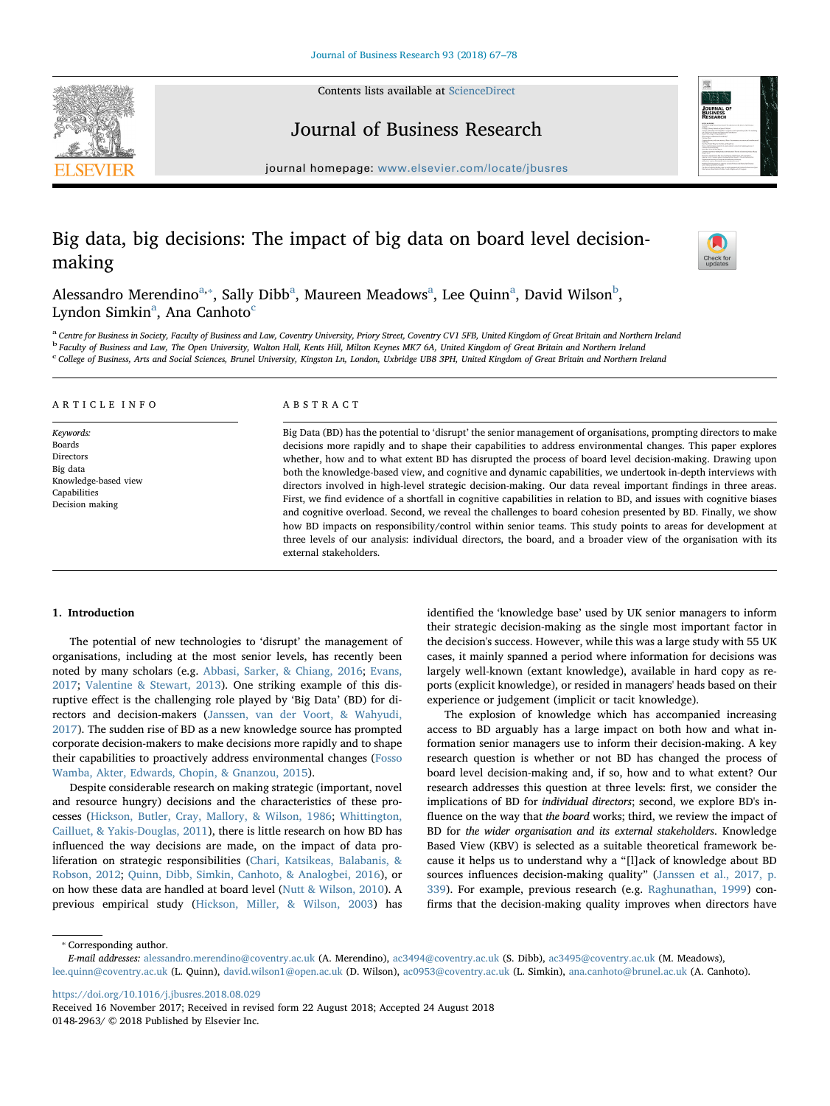Contents lists available at [ScienceDirect](http://www.sciencedirect.com/science/journal/01482963)





Journal of Business Research

journal homepage: [www.elsevier.com/locate/jbusres](https://www.elsevier.com/locate/jbusres)

# Big data, big decisions: The impact of big data on board level decisionmaking



Aless[a](#page-0-0)ndro Merendino $^{\mathrm{a},*}$ , Sally Di[b](#page-0-2)b $^{\mathrm{a}}$ , Maureen Meadows $^{\mathrm{a}}$ , Lee Quinn $^{\mathrm{a}}$ , David Wilson $^{\mathrm{b}}$ , Lyndon Simkin $\mathrm{^a}$  $\mathrm{^a}$  $\mathrm{^a}$ , Ana Canhoto $\mathrm{^c}$  $\mathrm{^c}$  $\mathrm{^c}$ 

<span id="page-0-3"></span><span id="page-0-2"></span><span id="page-0-0"></span>a Centre for Business in Society, Faculty of Business and Law, Coventry University, Priory Street, Coventry CV1 5FB, United Kingdom of Great Britain and Northern Ireland <sup>b</sup> Faculty of Business and Law, The Open University, Walton Hall, Kents Hill, Milton Keynes MK7 6A, United Kingdom of Great Britain and Northern Ireland c College of Business, Arts and Social Sciences, Brunel University, Kingston Ln, London, Uxbridge UB8 3PH, United Kingdom of Great Britain and Northern Ireland

#### ARTICLE INFO

Keywords: Boards Directors Big data Knowledge-based view Capabilities Decision making

#### ABSTRACT

Big Data (BD) has the potential to 'disrupt' the senior management of organisations, prompting directors to make decisions more rapidly and to shape their capabilities to address environmental changes. This paper explores whether, how and to what extent BD has disrupted the process of board level decision-making. Drawing upon both the knowledge-based view, and cognitive and dynamic capabilities, we undertook in-depth interviews with directors involved in high-level strategic decision-making. Our data reveal important findings in three areas. First, we find evidence of a shortfall in cognitive capabilities in relation to BD, and issues with cognitive biases and cognitive overload. Second, we reveal the challenges to board cohesion presented by BD. Finally, we show how BD impacts on responsibility/control within senior teams. This study points to areas for development at three levels of our analysis: individual directors, the board, and a broader view of the organisation with its external stakeholders.

# 1. Introduction

The potential of new technologies to 'disrupt' the management of organisations, including at the most senior levels, has recently been noted by many scholars (e.g. [Abbasi, Sarker, & Chiang, 2016](#page-9-0); [Evans,](#page-10-0) [2017;](#page-10-0) [Valentine & Stewart, 2013\)](#page-10-1). One striking example of this disruptive effect is the challenging role played by 'Big Data' (BD) for directors and decision-makers [\(Janssen, van der Voort, & Wahyudi,](#page-10-2) [2017\)](#page-10-2). The sudden rise of BD as a new knowledge source has prompted corporate decision-makers to make decisions more rapidly and to shape their capabilities to proactively address environmental changes [\(Fosso](#page-10-3) [Wamba, Akter, Edwards, Chopin, & Gnanzou, 2015\)](#page-10-3).

Despite considerable research on making strategic (important, novel and resource hungry) decisions and the characteristics of these processes [\(Hickson, Butler, Cray, Mallory, & Wilson, 1986](#page-10-4); [Whittington,](#page-10-5) [Cailluet, & Yakis-Douglas, 2011](#page-10-5)), there is little research on how BD has influenced the way decisions are made, on the impact of data proliferation on strategic responsibilities [\(Chari, Katsikeas, Balabanis, &](#page-9-1) [Robson, 2012;](#page-9-1) [Quinn, Dibb, Simkin, Canhoto, & Analogbei, 2016\)](#page-10-6), or on how these data are handled at board level ([Nutt & Wilson, 2010\)](#page-10-7). A previous empirical study ([Hickson, Miller, & Wilson, 2003\)](#page-10-8) has identified the 'knowledge base' used by UK senior managers to inform their strategic decision-making as the single most important factor in the decision's success. However, while this was a large study with 55 UK cases, it mainly spanned a period where information for decisions was largely well-known (extant knowledge), available in hard copy as reports (explicit knowledge), or resided in managers' heads based on their experience or judgement (implicit or tacit knowledge).

The explosion of knowledge which has accompanied increasing access to BD arguably has a large impact on both how and what information senior managers use to inform their decision-making. A key research question is whether or not BD has changed the process of board level decision-making and, if so, how and to what extent? Our research addresses this question at three levels: first, we consider the implications of BD for individual directors; second, we explore BD's influence on the way that the board works; third, we review the impact of BD for the wider organisation and its external stakeholders. Knowledge Based View (KBV) is selected as a suitable theoretical framework because it helps us to understand why a "[l]ack of knowledge about BD sources influences decision-making quality" ([Janssen et al., 2017, p.](#page-10-2) [339](#page-10-2)). For example, previous research (e.g. [Raghunathan, 1999](#page-10-9)) confirms that the decision-making quality improves when directors have

<span id="page-0-1"></span>⁎ Corresponding author.

<https://doi.org/10.1016/j.jbusres.2018.08.029>

E-mail addresses: [alessandro.merendino@coventry.ac.uk](mailto:alessandro.merendino@coventry.ac.uk) (A. Merendino), [ac3494@coventry.ac.uk](mailto:ac3494@coventry.ac.uk) (S. Dibb), [ac3495@coventry.ac.uk](mailto:ac3495@coventry.ac.uk) (M. Meadows), [lee.quinn@coventry.ac.uk](mailto:lee.quinn@coventry.ac.uk) (L. Quinn), [david.wilson1@open.ac.uk](mailto:david.wilson1@open.ac.uk) (D. Wilson), [ac0953@coventry.ac.uk](mailto:ac0953@coventry.ac.uk) (L. Simkin), [ana.canhoto@brunel.ac.uk](mailto:ana.canhoto@brunel.ac.uk) (A. Canhoto).

Received 16 November 2017; Received in revised form 22 August 2018; Accepted 24 August 2018 0148-2963/ © 2018 Published by Elsevier Inc.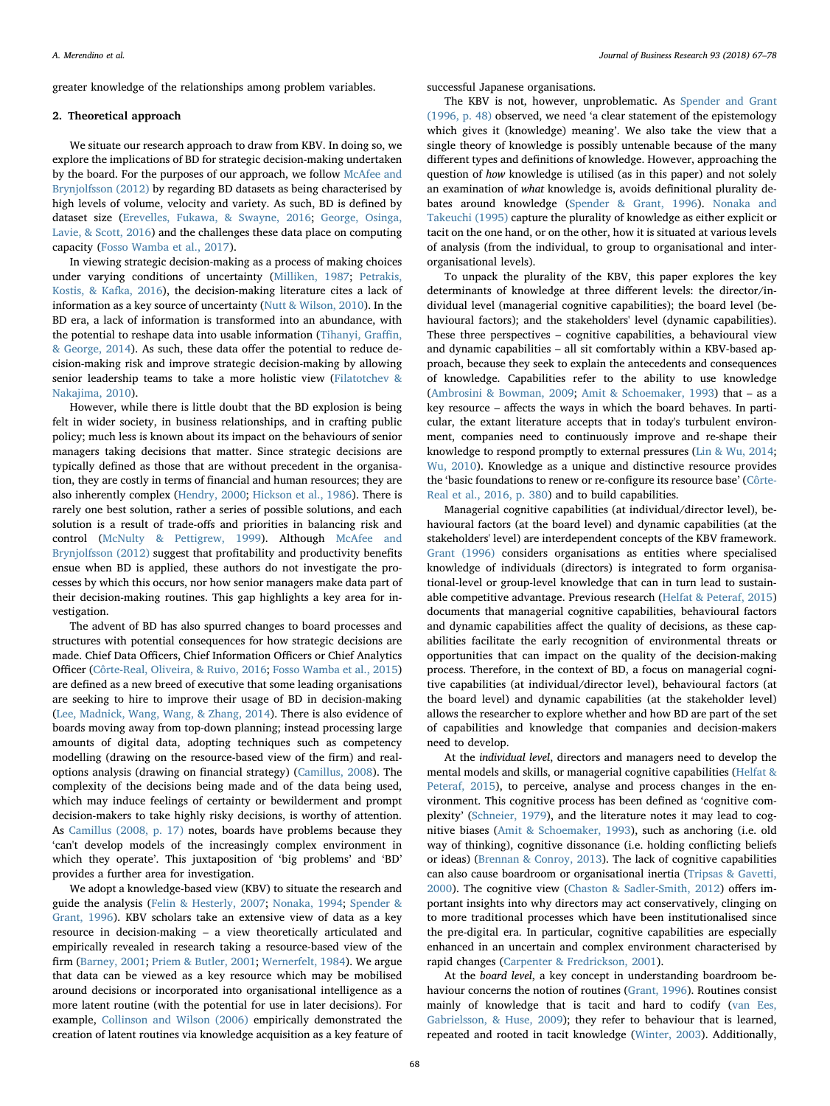greater knowledge of the relationships among problem variables.

# 2. Theoretical approach

We situate our research approach to draw from KBV. In doing so, we explore the implications of BD for strategic decision-making undertaken by the board. For the purposes of our approach, we follow [McAfee and](#page-10-10) [Brynjolfsson \(2012\)](#page-10-10) by regarding BD datasets as being characterised by high levels of volume, velocity and variety. As such, BD is defined by dataset size [\(Erevelles, Fukawa, & Swayne, 2016](#page-10-11); [George, Osinga,](#page-10-12) [Lavie, & Scott, 2016\)](#page-10-12) and the challenges these data place on computing capacity ([Fosso Wamba et al., 2017\)](#page-10-13).

In viewing strategic decision-making as a process of making choices under varying conditions of uncertainty ([Milliken, 1987;](#page-10-14) [Petrakis,](#page-10-15) [Kostis, & Kafka, 2016\)](#page-10-15), the decision-making literature cites a lack of information as a key source of uncertainty ([Nutt & Wilson, 2010](#page-10-7)). In the BD era, a lack of information is transformed into an abundance, with the potential to reshape data into usable information ([Tihanyi, Gra](#page-10-16)ffin, [& George, 2014\)](#page-10-16). As such, these data offer the potential to reduce decision-making risk and improve strategic decision-making by allowing senior leadership teams to take a more holistic view ([Filatotchev &](#page-10-17) [Nakajima, 2010](#page-10-17)).

However, while there is little doubt that the BD explosion is being felt in wider society, in business relationships, and in crafting public policy; much less is known about its impact on the behaviours of senior managers taking decisions that matter. Since strategic decisions are typically defined as those that are without precedent in the organisation, they are costly in terms of financial and human resources; they are also inherently complex ([Hendry, 2000;](#page-10-18) [Hickson et al., 1986\)](#page-10-4). There is rarely one best solution, rather a series of possible solutions, and each solution is a result of trade-offs and priorities in balancing risk and control ([McNulty & Pettigrew, 1999](#page-10-19)). Although [McAfee and](#page-10-10) [Brynjolfsson \(2012\)](#page-10-10) suggest that profitability and productivity benefits ensue when BD is applied, these authors do not investigate the processes by which this occurs, nor how senior managers make data part of their decision-making routines. This gap highlights a key area for investigation.

The advent of BD has also spurred changes to board processes and structures with potential consequences for how strategic decisions are made. Chief Data Officers, Chief Information Officers or Chief Analytics Officer ([Côrte-Real, Oliveira, & Ruivo, 2016;](#page-9-2) [Fosso Wamba et al., 2015\)](#page-10-3) are defined as a new breed of executive that some leading organisations are seeking to hire to improve their usage of BD in decision-making ([Lee, Madnick, Wang, Wang, & Zhang, 2014](#page-10-20)). There is also evidence of boards moving away from top-down planning; instead processing large amounts of digital data, adopting techniques such as competency modelling (drawing on the resource-based view of the firm) and realoptions analysis (drawing on financial strategy) ([Camillus, 2008](#page-9-3)). The complexity of the decisions being made and of the data being used, which may induce feelings of certainty or bewilderment and prompt decision-makers to take highly risky decisions, is worthy of attention. As [Camillus \(2008, p. 17\)](#page-9-3) notes, boards have problems because they 'can't develop models of the increasingly complex environment in which they operate'. This juxtaposition of 'big problems' and 'BD' provides a further area for investigation.

We adopt a knowledge-based view (KBV) to situate the research and guide the analysis ([Felin & Hesterly, 2007;](#page-10-21) [Nonaka, 1994](#page-10-22); [Spender &](#page-10-23) [Grant, 1996](#page-10-23)). KBV scholars take an extensive view of data as a key resource in decision-making – a view theoretically articulated and empirically revealed in research taking a resource-based view of the firm ([Barney, 2001;](#page-9-4) [Priem & Butler, 2001;](#page-10-24) [Wernerfelt, 1984\)](#page-10-25). We argue that data can be viewed as a key resource which may be mobilised around decisions or incorporated into organisational intelligence as a more latent routine (with the potential for use in later decisions). For example, [Collinson and Wilson \(2006\)](#page-9-5) empirically demonstrated the creation of latent routines via knowledge acquisition as a key feature of successful Japanese organisations.

The KBV is not, however, unproblematic. As [Spender and Grant](#page-10-23) [\(1996, p. 48\)](#page-10-23) observed, we need 'a clear statement of the epistemology which gives it (knowledge) meaning'. We also take the view that a single theory of knowledge is possibly untenable because of the many different types and definitions of knowledge. However, approaching the question of how knowledge is utilised (as in this paper) and not solely an examination of what knowledge is, avoids definitional plurality debates around knowledge ([Spender & Grant, 1996\)](#page-10-23). [Nonaka and](#page-10-26) [Takeuchi \(1995\)](#page-10-26) capture the plurality of knowledge as either explicit or tacit on the one hand, or on the other, how it is situated at various levels of analysis (from the individual, to group to organisational and interorganisational levels).

To unpack the plurality of the KBV, this paper explores the key determinants of knowledge at three different levels: the director/individual level (managerial cognitive capabilities); the board level (behavioural factors); and the stakeholders' level (dynamic capabilities). These three perspectives – cognitive capabilities, a behavioural view and dynamic capabilities – all sit comfortably within a KBV-based approach, because they seek to explain the antecedents and consequences of knowledge. Capabilities refer to the ability to use knowledge ([Ambrosini & Bowman, 2009](#page-9-6); Amit [& Schoemaker, 1993\)](#page-9-7) that – as a key resource – affects the ways in which the board behaves. In particular, the extant literature accepts that in today's turbulent environment, companies need to continuously improve and re-shape their knowledge to respond promptly to external pressures ([Lin & Wu, 2014](#page-10-27); [Wu, 2010](#page-10-28)). Knowledge as a unique and distinctive resource provides the 'basic foundations to renew or re-configure its resource base' [\(Côrte-](#page-9-2)[Real et al., 2016, p. 380](#page-9-2)) and to build capabilities.

Managerial cognitive capabilities (at individual/director level), behavioural factors (at the board level) and dynamic capabilities (at the stakeholders' level) are interdependent concepts of the KBV framework. [Grant \(1996\)](#page-10-29) considers organisations as entities where specialised knowledge of individuals (directors) is integrated to form organisational-level or group-level knowledge that can in turn lead to sustainable competitive advantage. Previous research ([Helfat & Peteraf, 2015\)](#page-10-30) documents that managerial cognitive capabilities, behavioural factors and dynamic capabilities affect the quality of decisions, as these capabilities facilitate the early recognition of environmental threats or opportunities that can impact on the quality of the decision-making process. Therefore, in the context of BD, a focus on managerial cognitive capabilities (at individual/director level), behavioural factors (at the board level) and dynamic capabilities (at the stakeholder level) allows the researcher to explore whether and how BD are part of the set of capabilities and knowledge that companies and decision-makers need to develop.

At the individual level, directors and managers need to develop the mental models and skills, or managerial cognitive capabilities [\(Helfat &](#page-10-30) [Peteraf, 2015\)](#page-10-30), to perceive, analyse and process changes in the environment. This cognitive process has been defined as 'cognitive complexity' ([Schneier, 1979](#page-10-31)), and the literature notes it may lead to cognitive biases [\(Amit & Schoemaker, 1993\)](#page-9-7), such as anchoring (i.e. old way of thinking), cognitive dissonance (i.e. holding conflicting beliefs or ideas) [\(Brennan & Conroy, 2013](#page-9-8)). The lack of cognitive capabilities can also cause boardroom or organisational inertia ([Tripsas & Gavetti,](#page-10-32) [2000\)](#page-10-32). The cognitive view ([Chaston & Sadler-Smith, 2012\)](#page-9-9) offers important insights into why directors may act conservatively, clinging on to more traditional processes which have been institutionalised since the pre-digital era. In particular, cognitive capabilities are especially enhanced in an uncertain and complex environment characterised by rapid changes ([Carpenter & Fredrickson, 2001](#page-9-10)).

At the board level, a key concept in understanding boardroom behaviour concerns the notion of routines ([Grant, 1996](#page-10-29)). Routines consist mainly of knowledge that is tacit and hard to codify ([van Ees,](#page-10-33) [Gabrielsson, & Huse, 2009](#page-10-33)); they refer to behaviour that is learned, repeated and rooted in tacit knowledge ([Winter,](#page-10-34) 2003). Additionally,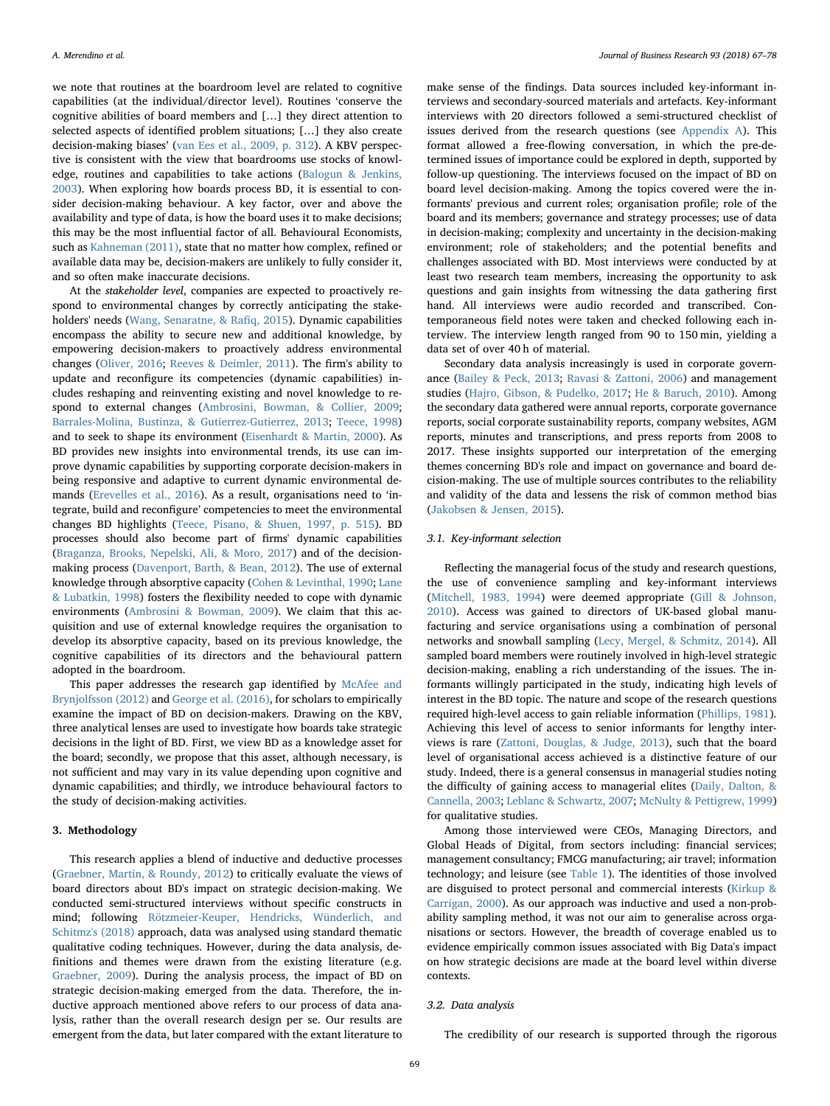we note that routines at the boardroom level are related to cognitive capabilities (at the individual/director level). Routines 'conserve the cognitive abilities of board members and […] they direct attention to selected aspects of identified problem situations; […] they also create decision-making biases' ([van Ees et al., 2009, p. 312](#page-10-33)). A KBV perspective is consistent with the view that boardrooms use stocks of knowledge, routines and capabilities to take actions [\(Balogun & Jenkins,](#page-9-11) [2003\)](#page-9-11). When exploring how boards process BD, it is essential to consider decision-making behaviour. A key factor, over and above the availability and type of data, is how the board uses it to make decisions; this may be the most influential factor of all. Behavioural Economists, such as [Kahneman \(2011\)](#page-10-35), state that no matter how complex, refined or available data may be, decision-makers are unlikely to fully consider it, and so often make inaccurate decisions.

At the stakeholder level, companies are expected to proactively respond to environmental changes by correctly anticipating the stakeholders' needs ([Wang, Senaratne, & Ra](#page-10-36)fiq, 2015). Dynamic capabilities encompass the ability to secure new and additional knowledge, by empowering decision-makers to proactively address environmental changes ([Oliver, 2016;](#page-10-37) [Reeves & Deimler, 2011](#page-10-38)). The firm's ability to update and reconfigure its competencies (dynamic capabilities) includes reshaping and reinventing existing and novel knowledge to respond to external changes [\(Ambrosini, Bowman, & Collier, 2009](#page-9-12); [Barrales-Molina, Bustinza, & Gutierrez-Gutierrez, 2013](#page-9-13); [Teece, 1998\)](#page-10-39) and to seek to shape its environment [\(Eisenhardt & Martin, 2000](#page-10-40)). As BD provides new insights into environmental trends, its use can improve dynamic capabilities by supporting corporate decision-makers in being responsive and adaptive to current dynamic environmental demands ([Erevelles et al., 2016\)](#page-10-11). As a result, organisations need to 'integrate, build and reconfigure' competencies to meet the environmental changes BD highlights ([Teece, Pisano, & Shuen, 1997, p. 515\)](#page-10-41). BD processes should also become part of firms' dynamic capabilities ([Braganza, Brooks, Nepelski, Ali, & Moro, 2017](#page-9-14)) and of the decisionmaking process [\(Davenport, Barth, & Bean, 2012](#page-9-15)). The use of external knowledge through absorptive capacity ([Cohen & Levinthal, 1990;](#page-9-16) [Lane](#page-10-42) [& Lubatkin, 1998](#page-10-42)) fosters the flexibility needed to cope with dynamic environments [\(Ambrosini & Bowman, 2009\)](#page-9-6). We claim that this acquisition and use of external knowledge requires the organisation to develop its absorptive capacity, based on its previous knowledge, the cognitive capabilities of its directors and the behavioural pattern adopted in the boardroom.

This paper addresses the research gap identified by [McAfee and](#page-10-10) [Brynjolfsson \(2012\)](#page-10-10) and [George et al. \(2016\),](#page-10-12) for scholars to empirically examine the impact of BD on decision-makers. Drawing on the KBV, three analytical lenses are used to investigate how boards take strategic decisions in the light of BD. First, we view BD as a knowledge asset for the board; secondly, we propose that this asset, although necessary, is not sufficient and may vary in its value depending upon cognitive and dynamic capabilities; and thirdly, we introduce behavioural factors to the study of decision-making activities.

# 3. Methodology

This research applies a blend of inductive and deductive processes ([Graebner, Martin, & Roundy, 2012\)](#page-10-43) to critically evaluate the views of board directors about BD's impact on strategic decision-making. We conducted semi-structured interviews without specific constructs in mind; following [Rötzmeier-Keuper, Hendricks, Wünderlich, and](#page-10-44) [Schitmz's \(2018\)](#page-10-44) approach, data was analysed using standard thematic qualitative coding techniques. However, during the data analysis, definitions and themes were drawn from the existing literature (e.g. [Graebner, 2009](#page-10-45)). During the analysis process, the impact of BD on strategic decision-making emerged from the data. Therefore, the inductive approach mentioned above refers to our process of data analysis, rather than the overall research design per se. Our results are emergent from the data, but later compared with the extant literature to

make sense of the findings. Data sources included key-informant interviews and secondary-sourced materials and artefacts. Key-informant interviews with 20 directors followed a semi-structured checklist of issues derived from the research questions (see [Appendix A](#page-8-0)). This format allowed a free-flowing conversation, in which the pre-determined issues of importance could be explored in depth, supported by follow-up questioning. The interviews focused on the impact of BD on board level decision-making. Among the topics covered were the informants' previous and current roles; organisation profile; role of the board and its members; governance and strategy processes; use of data in decision-making; complexity and uncertainty in the decision-making environment; role of stakeholders; and the potential benefits and challenges associated with BD. Most interviews were conducted by at least two research team members, increasing the opportunity to ask questions and gain insights from witnessing the data gathering first hand. All interviews were audio recorded and transcribed. Contemporaneous field notes were taken and checked following each interview. The interview length ranged from 90 to 150 min, yielding a data set of over 40 h of material.

Secondary data analysis increasingly is used in corporate governance ([Bailey & Peck, 2013;](#page-9-17) [Ravasi & Zattoni, 2006](#page-10-46)) and management studies ([Hajro, Gibson, & Pudelko, 2017;](#page-10-47) [He & Baruch, 2010](#page-10-48)). Among the secondary data gathered were annual reports, corporate governance reports, social corporate sustainability reports, company websites, AGM reports, minutes and transcriptions, and press reports from 2008 to 2017. These insights supported our interpretation of the emerging themes concerning BD's role and impact on governance and board decision-making. The use of multiple sources contributes to the reliability and validity of the data and lessens the risk of common method bias ([Jakobsen & Jensen, 2015\)](#page-10-49).

# 3.1. Key-informant selection

Reflecting the managerial focus of the study and research questions, the use of convenience sampling and key-informant interviews (Mitchell, [1983, 1994](#page-10-50)) were deemed appropriate ([Gill & Johnson,](#page-10-51) [2010\)](#page-10-51). Access was gained to directors of UK-based global manufacturing and service organisations using a combination of personal networks and snowball sampling ([Lecy, Mergel, & Schmitz, 2014\)](#page-10-52). All sampled board members were routinely involved in high-level strategic decision-making, enabling a rich understanding of the issues. The informants willingly participated in the study, indicating high levels of interest in the BD topic. The nature and scope of the research questions required high-level access to gain reliable information [\(Phillips, 1981](#page-10-53)). Achieving this level of access to senior informants for lengthy interviews is rare [\(Zattoni, Douglas, & Judge, 2013](#page-10-54)), such that the board level of organisational access achieved is a distinctive feature of our study. Indeed, there is a general consensus in managerial studies noting the difficulty of gaining access to managerial elites ([Daily, Dalton, &](#page-9-18) [Cannella, 2003](#page-9-18); [Leblanc & Schwartz, 2007;](#page-10-55) [McNulty & Pettigrew, 1999\)](#page-10-19) for qualitative studies.

Among those interviewed were CEOs, Managing Directors, and Global Heads of Digital, from sectors including: financial services; management consultancy; FMCG manufacturing; air travel; information technology; and leisure (see [Table 1](#page-3-0)). The identities of those involved are disguised to protect personal and commercial interests [\(Kirkup &](#page-10-56) [Carrigan, 2000\)](#page-10-56). As our approach was inductive and used a non-probability sampling method, it was not our aim to generalise across organisations or sectors. However, the breadth of coverage enabled us to evidence empirically common issues associated with Big Data's impact on how strategic decisions are made at the board level within diverse contexts.

#### 3.2. Data analysis

The credibility of our research is supported through the rigorous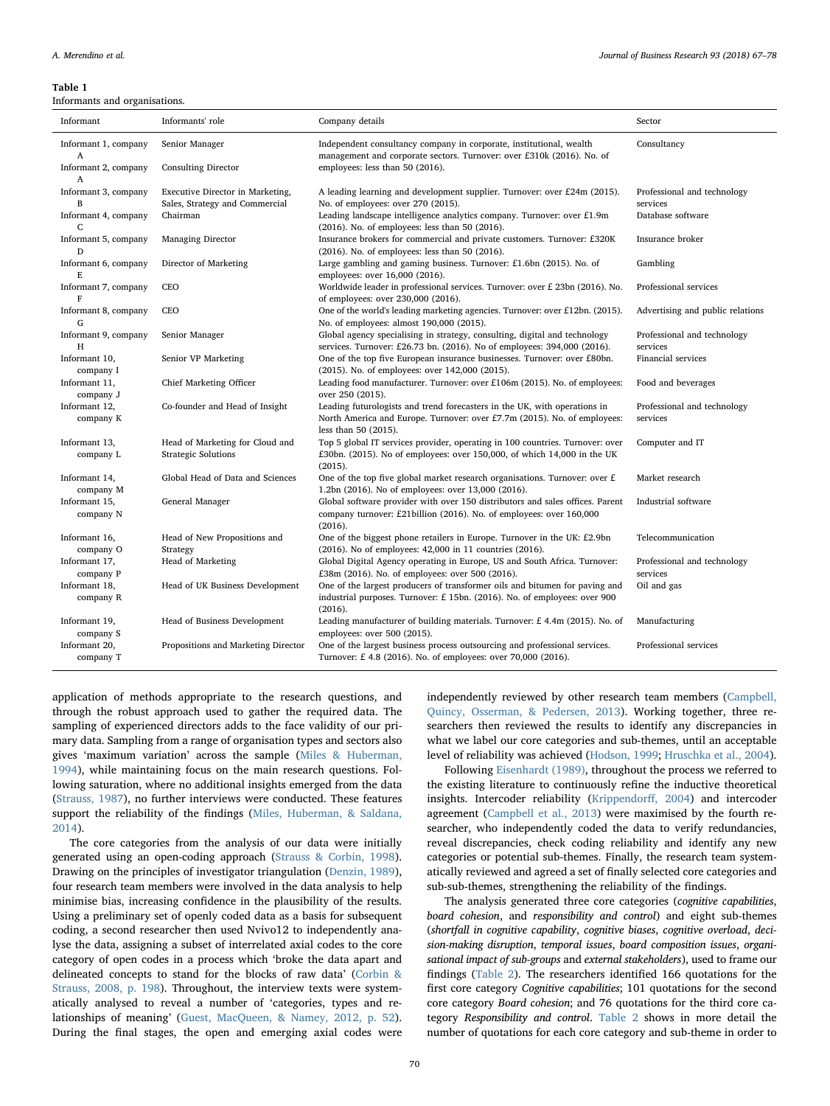#### <span id="page-3-0"></span>Table 1

Informants and organisations.

| Informant                  | Informants' role                                                   | Company details                                                                                                                                                               | Sector                                  |
|----------------------------|--------------------------------------------------------------------|-------------------------------------------------------------------------------------------------------------------------------------------------------------------------------|-----------------------------------------|
| Informant 1, company<br>A  | Senior Manager                                                     | Independent consultancy company in corporate, institutional, wealth<br>management and corporate sectors. Turnover: over £310k (2016). No. of                                  | Consultancy                             |
| Informant 2, company<br>A  | <b>Consulting Director</b>                                         | employees: less than 50 (2016).                                                                                                                                               |                                         |
| Informant 3, company<br>B  | Executive Director in Marketing,<br>Sales, Strategy and Commercial | A leading learning and development supplier. Turnover: over £24m (2015).<br>No. of employees: over 270 (2015).                                                                | Professional and technology<br>services |
| Informant 4, company<br>C  | Chairman                                                           | Leading landscape intelligence analytics company. Turnover: over £1.9m<br>(2016). No. of employees: less than 50 (2016).                                                      | Database software                       |
| Informant 5, company<br>D  | Managing Director                                                  | Insurance brokers for commercial and private customers. Turnover: £320K<br>(2016). No. of employees: less than 50 (2016).                                                     | Insurance broker                        |
| Informant 6, company<br>E  | Director of Marketing                                              | Large gambling and gaming business. Turnover: £1.6bn (2015). No. of<br>employees: over 16,000 (2016).                                                                         | Gambling                                |
| Informant 7, company<br>F  | CEO                                                                | Worldwide leader in professional services. Turnover: over £ 23bn (2016). No.<br>of employees: over 230,000 (2016).                                                            | Professional services                   |
| Informant 8, company<br>G  | CEO                                                                | One of the world's leading marketing agencies. Turnover: over $£12bn$ . (2015).<br>No. of employees: almost 190,000 (2015).                                                   | Advertising and public relations        |
| Informant 9, company<br>H  | Senior Manager                                                     | Global agency specialising in strategy, consulting, digital and technology<br>services. Turnover: £26.73 bn. (2016). No of employees: 394,000 (2016).                         | Professional and technology<br>services |
| Informant 10,<br>company I | Senior VP Marketing                                                | One of the top five European insurance businesses. Turnover: over £80bn.<br>(2015). No. of employees: over 142,000 (2015).                                                    | Financial services                      |
| Informant 11,<br>company J | Chief Marketing Officer                                            | Leading food manufacturer. Turnover: over £106m (2015). No. of employees:<br>over 250 (2015).                                                                                 | Food and beverages                      |
| Informant 12,<br>company K | Co-founder and Head of Insight                                     | Leading futurologists and trend forecasters in the UK, with operations in<br>North America and Europe. Turnover: over £7.7m (2015). No. of employees:<br>less than 50 (2015). | Professional and technology<br>services |
| Informant 13,<br>company L | Head of Marketing for Cloud and<br><b>Strategic Solutions</b>      | Top 5 global IT services provider, operating in 100 countries. Turnover: over<br>£30bn. (2015). No of employees: over 150,000, of which 14,000 in the UK<br>(2015).           | Computer and IT                         |
| Informant 14,<br>company M | Global Head of Data and Sciences                                   | One of the top five global market research organisations. Turnover: over £<br>1.2bn (2016). No of employees: over 13,000 (2016).                                              | Market research                         |
| Informant 15,<br>company N | General Manager                                                    | Global software provider with over 150 distributors and sales offices. Parent<br>company turnover: £21billion (2016). No. of employees: over 160,000<br>(2016).               | Industrial software                     |
| Informant 16,<br>company O | Head of New Propositions and<br>Strategy                           | One of the biggest phone retailers in Europe. Turnover in the UK: £2.9bn<br>(2016). No of employees: 42,000 in 11 countries (2016).                                           | Telecommunication                       |
| Informant 17,<br>company P | Head of Marketing                                                  | Global Digital Agency operating in Europe, US and South Africa. Turnover:<br>£38m (2016). No. of employees: over 500 (2016).                                                  | Professional and technology<br>services |
| Informant 18,<br>company R | Head of UK Business Development                                    | One of the largest producers of transformer oils and bitumen for paving and<br>industrial purposes. Turnover: £ 15bn. (2016). No. of employees: over 900<br>(2016).           | Oil and gas                             |
| Informant 19,<br>company S | Head of Business Development                                       | Leading manufacturer of building materials. Turnover: £ 4.4m (2015). No. of<br>employees: over 500 (2015).                                                                    | Manufacturing                           |
| Informant 20,<br>company T | Propositions and Marketing Director                                | One of the largest business process outsourcing and professional services.<br>Turnover: £4.8 (2016). No. of employees: over 70,000 (2016).                                    | Professional services                   |

application of methods appropriate to the research questions, and through the robust approach used to gather the required data. The sampling of experienced directors adds to the face validity of our primary data. Sampling from a range of organisation types and sectors also gives 'maximum variation' across the sample [\(Miles & Huberman,](#page-10-57) [1994\)](#page-10-57), while maintaining focus on the main research questions. Following saturation, where no additional insights emerged from the data ([Strauss, 1987\)](#page-10-58), no further interviews were conducted. These features support the reliability of the findings ([Miles, Huberman, & Saldana,](#page-10-59) [2014\)](#page-10-59).

The core categories from the analysis of our data were initially generated using an open-coding approach ([Strauss & Corbin, 1998](#page-10-60)). Drawing on the principles of investigator triangulation [\(Denzin, 1989](#page-10-61)), four research team members were involved in the data analysis to help minimise bias, increasing confidence in the plausibility of the results. Using a preliminary set of openly coded data as a basis for subsequent coding, a second researcher then used Nvivo12 to independently analyse the data, assigning a subset of interrelated axial codes to the core category of open codes in a process which 'broke the data apart and delineated concepts to stand for the blocks of raw data' [\(Corbin &](#page-9-19) [Strauss, 2008, p. 198\)](#page-9-19). Throughout, the interview texts were systematically analysed to reveal a number of 'categories, types and relationships of meaning' ([Guest, MacQueen, & Namey, 2012, p. 52](#page-10-62)). During the final stages, the open and emerging axial codes were

independently reviewed by other research team members [\(Campbell,](#page-9-20) [Quincy, Osserman, & Pedersen, 2013](#page-9-20)). Working together, three researchers then reviewed the results to identify any discrepancies in what we label our core categories and sub-themes, until an acceptable level of reliability was achieved [\(Hodson, 1999;](#page-10-63) [Hruschka et al., 2004](#page-10-64)).

Following [Eisenhardt \(1989\)](#page-10-65), throughout the process we referred to the existing literature to continuously refine the inductive theoretical insights. Intercoder reliability ([Krippendor](#page-10-66)ff, 2004) and intercoder agreement ([Campbell et al., 2013\)](#page-9-20) were maximised by the fourth researcher, who independently coded the data to verify redundancies, reveal discrepancies, check coding reliability and identify any new categories or potential sub-themes. Finally, the research team systematically reviewed and agreed a set of finally selected core categories and sub-sub-themes, strengthening the reliability of the findings.

The analysis generated three core categories (cognitive capabilities, board cohesion, and responsibility and control) and eight sub-themes (shortfall in cognitive capability, cognitive biases, cognitive overload, decision-making disruption, temporal issues, board composition issues, organisational impact of sub-groups and external stakeholders), used to frame our findings [\(Table 2\)](#page-4-0). The researchers identified 166 quotations for the first core category Cognitive capabilities; 101 quotations for the second core category Board cohesion; and 76 quotations for the third core category Responsibility and control. [Table 2](#page-4-0) shows in more detail the number of quotations for each core category and sub-theme in order to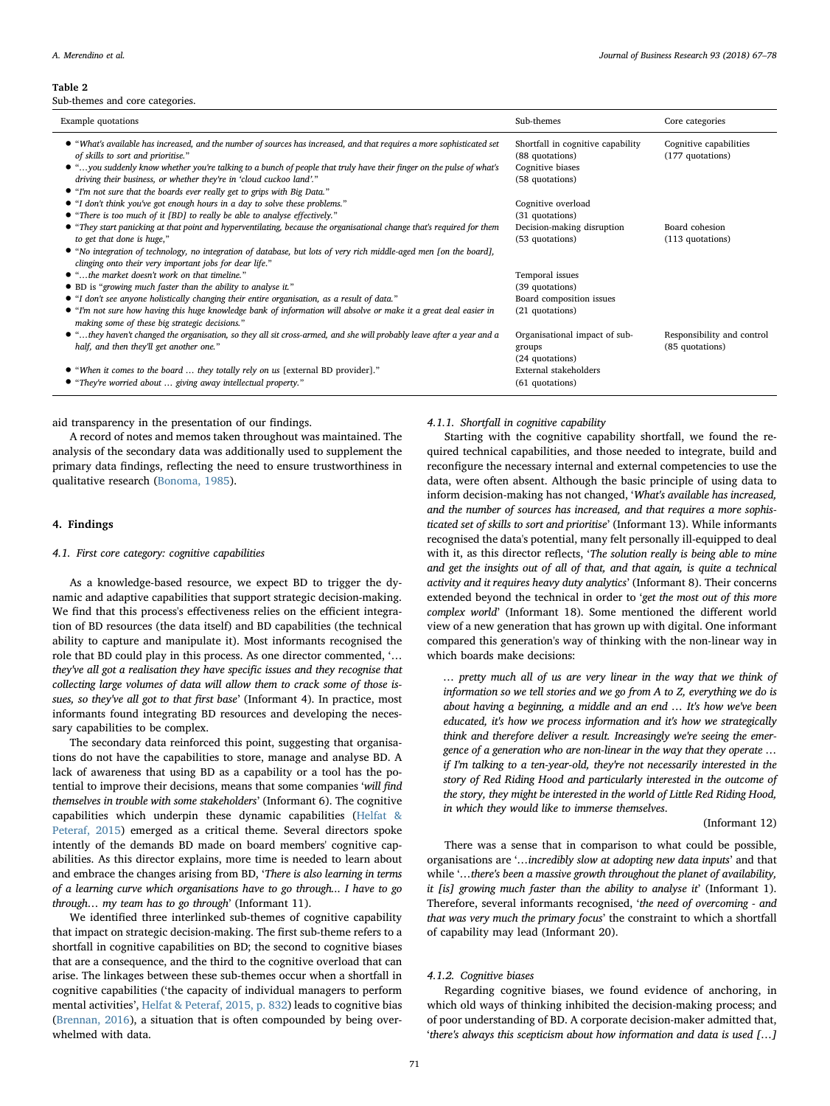#### <span id="page-4-0"></span>Table 2

#### Sub-themes and core categories.

| Example quotations                                                                                                                                                                                                                                                                                                                                                                                                                      | Sub-themes                                                                                  | Core categories                            |
|-----------------------------------------------------------------------------------------------------------------------------------------------------------------------------------------------------------------------------------------------------------------------------------------------------------------------------------------------------------------------------------------------------------------------------------------|---------------------------------------------------------------------------------------------|--------------------------------------------|
| • "What's available has increased, and the number of sources has increased, and that requires a more sophisticated set<br>of skills to sort and prioritise."<br>• "you suddenly know whether you're talking to a bunch of people that truly have their finger on the pulse of what's<br>driving their business, or whether they're in 'cloud cuckoo land'."<br>• "I'm not sure that the boards ever really get to grips with Big Data." | Shortfall in cognitive capability<br>(88 quotations)<br>Cognitive biases<br>(58 quotations) | Cognitive capabilities<br>(177 quotations) |
| • "I don't think you've got enough hours in a day to solve these problems."                                                                                                                                                                                                                                                                                                                                                             | Cognitive overload                                                                          |                                            |
| • "There is too much of it [BD] to really be able to analyse effectively."                                                                                                                                                                                                                                                                                                                                                              | (31 quotations)                                                                             |                                            |
| • "They start panicking at that point and hyperventilating, because the organisational change that's required for them                                                                                                                                                                                                                                                                                                                  | Decision-making disruption                                                                  | Board cohesion                             |
| to get that done is huge,"                                                                                                                                                                                                                                                                                                                                                                                                              | (53 quotations)                                                                             | (113 quotations)                           |
| • "No integration of technology, no integration of database, but lots of very rich middle-aged men [on the board],<br>clinging onto their very important jobs for dear life."                                                                                                                                                                                                                                                           |                                                                                             |                                            |
| • "the market doesn't work on that timeline."                                                                                                                                                                                                                                                                                                                                                                                           | Temporal issues                                                                             |                                            |
| • BD is "growing much faster than the ability to analyse it."                                                                                                                                                                                                                                                                                                                                                                           | (39 quotations)                                                                             |                                            |
| • "I don't see anyone holistically changing their entire organisation, as a result of data."                                                                                                                                                                                                                                                                                                                                            | Board composition issues                                                                    |                                            |
| • "I'm not sure how having this huge knowledge bank of information will absolve or make it a great deal easier in<br>making some of these big strategic decisions."                                                                                                                                                                                                                                                                     | (21 quotations)                                                                             |                                            |
| • "they haven't changed the organisation, so they all sit cross-armed, and she will probably leave after a year and a                                                                                                                                                                                                                                                                                                                   | Organisational impact of sub-                                                               | Responsibility and control                 |
| half, and then they'll get another one."                                                                                                                                                                                                                                                                                                                                                                                                | groups                                                                                      | (85 quotations)                            |
| • "When it comes to the board  they totally rely on us [external BD provider]."<br>• "They're worried about  giving away intellectual property."                                                                                                                                                                                                                                                                                        | (24 quotations)<br>External stakeholders<br>(61 quotations)                                 |                                            |

aid transparency in the presentation of our findings.

A record of notes and memos taken throughout was maintained. The analysis of the secondary data was additionally used to supplement the primary data findings, reflecting the need to ensure trustworthiness in qualitative research [\(Bonoma, 1985\)](#page-9-21).

# 4. Findings

# 4.1. First core category: cognitive capabilities

As a knowledge-based resource, we expect BD to trigger the dynamic and adaptive capabilities that support strategic decision-making. We find that this process's effectiveness relies on the efficient integration of BD resources (the data itself) and BD capabilities (the technical ability to capture and manipulate it). Most informants recognised the role that BD could play in this process. As one director commented, '… they've all got a realisation they have specific issues and they recognise that collecting large volumes of data will allow them to crack some of those issues, so they've all got to that first base' (Informant 4). In practice, most informants found integrating BD resources and developing the necessary capabilities to be complex.

The secondary data reinforced this point, suggesting that organisations do not have the capabilities to store, manage and analyse BD. A lack of awareness that using BD as a capability or a tool has the potential to improve their decisions, means that some companies 'will find themselves in trouble with some stakeholders' (Informant 6). The cognitive capabilities which underpin these dynamic capabilities [\(Helfat &](#page-10-30) [Peteraf, 2015\)](#page-10-30) emerged as a critical theme. Several directors spoke intently of the demands BD made on board members' cognitive capabilities. As this director explains, more time is needed to learn about and embrace the changes arising from BD, 'There is also learning in terms of a learning curve which organisations have to go through... I have to go through… my team has to go through' (Informant 11).

We identified three interlinked sub-themes of cognitive capability that impact on strategic decision-making. The first sub-theme refers to a shortfall in cognitive capabilities on BD; the second to cognitive biases that are a consequence, and the third to the cognitive overload that can arise. The linkages between these sub-themes occur when a shortfall in cognitive capabilities ('the capacity of individual managers to perform mental activities', [Helfat & Peteraf, 2015, p. 832](#page-10-30)) leads to cognitive bias ([Brennan, 2016](#page-9-22)), a situation that is often compounded by being overwhelmed with data.

4.1.1. Shortfall in cognitive capability

Starting with the cognitive capability shortfall, we found the required technical capabilities, and those needed to integrate, build and reconfigure the necessary internal and external competencies to use the data, were often absent. Although the basic principle of using data to inform decision-making has not changed, 'What's available has increased, and the number of sources has increased, and that requires a more sophisticated set of skills to sort and prioritise' (Informant 13). While informants recognised the data's potential, many felt personally ill-equipped to deal with it, as this director reflects, 'The solution really is being able to mine and get the insights out of all of that, and that again, is quite a technical activity and it requires heavy duty analytics' (Informant 8). Their concerns extended beyond the technical in order to 'get the most out of this more complex world' (Informant 18). Some mentioned the different world view of a new generation that has grown up with digital. One informant compared this generation's way of thinking with the non-linear way in which boards make decisions:

… pretty much all of us are very linear in the way that we think of information so we tell stories and we go from A to Z, everything we do is about having a beginning, a middle and an end … It's how we've been educated, it's how we process information and it's how we strategically think and therefore deliver a result. Increasingly we're seeing the emergence of a generation who are non-linear in the way that they operate … if I'm talking to a ten-year-old, they're not necessarily interested in the story of Red Riding Hood and particularly interested in the outcome of the story, they might be interested in the world of Little Red Riding Hood, in which they would like to immerse themselves.

# (Informant 12)

There was a sense that in comparison to what could be possible, organisations are '…incredibly slow at adopting new data inputs' and that while '…there's been a massive growth throughout the planet of availability, it [is] growing much faster than the ability to analyse it' (Informant 1). Therefore, several informants recognised, 'the need of overcoming - and that was very much the primary focus' the constraint to which a shortfall of capability may lead (Informant 20).

#### 4.1.2. Cognitive biases

Regarding cognitive biases, we found evidence of anchoring, in which old ways of thinking inhibited the decision-making process; and of poor understanding of BD. A corporate decision-maker admitted that, 'there's always this scepticism about how information and data is used […]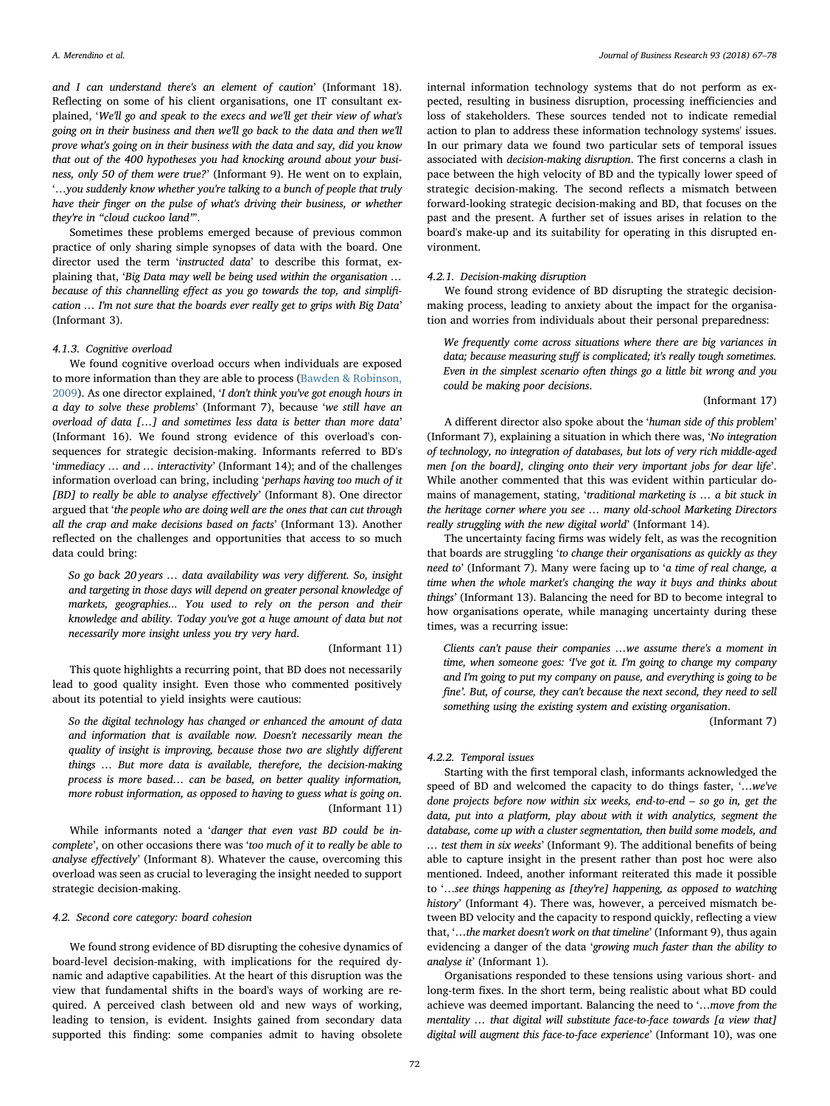and I can understand there's an element of caution' (Informant 18). Reflecting on some of his client organisations, one IT consultant explained, 'We'll go and speak to the execs and we'll get their view of what's going on in their business and then we'll go back to the data and then we'll prove what's going on in their business with the data and say, did you know that out of the 400 hypotheses you had knocking around about your business, only 50 of them were true?' (Informant 9). He went on to explain, '…you suddenly know whether you're talking to a bunch of people that truly have their finger on the pulse of what's driving their business, or whether they're in "cloud cuckoo land"'.

Sometimes these problems emerged because of previous common practice of only sharing simple synopses of data with the board. One director used the term 'instructed data' to describe this format, explaining that, 'Big Data may well be being used within the organisation … because of this channelling effect as you go towards the top, and simplification … I'm not sure that the boards ever really get to grips with Big Data' (Informant 3).

#### 4.1.3. Cognitive overload

We found cognitive overload occurs when individuals are exposed to more information than they are able to process ([Bawden & Robinson,](#page-9-23) [2009\)](#page-9-23). As one director explained, 'I don't think you've got enough hours in a day to solve these problems' (Informant 7), because 'we still have an overload of data […] and sometimes less data is better than more data' (Informant 16). We found strong evidence of this overload's consequences for strategic decision-making. Informants referred to BD's 'immediacy … and … interactivity' (Informant 14); and of the challenges information overload can bring, including 'perhaps having too much of it [BD] to really be able to analyse effectively' (Informant 8). One director argued that 'the people who are doing well are the ones that can cut through all the crap and make decisions based on facts' (Informant 13). Another reflected on the challenges and opportunities that access to so much data could bring:

So go back 20 years … data availability was very different. So, insight and targeting in those days will depend on greater personal knowledge of markets, geographies... You used to rely on the person and their knowledge and ability. Today you've got a huge amount of data but not necessarily more insight unless you try very hard.

#### (Informant 11)

This quote highlights a recurring point, that BD does not necessarily lead to good quality insight. Even those who commented positively about its potential to yield insights were cautious:

So the digital technology has changed or enhanced the amount of data and information that is available now. Doesn't necessarily mean the quality of insight is improving, because those two are slightly different things … But more data is available, therefore, the decision-making process is more based… can be based, on better quality information, more robust information, as opposed to having to guess what is going on. (Informant 11)

While informants noted a 'danger that even vast BD could be incomplete', on other occasions there was 'too much of it to really be able to analyse effectively' (Informant 8). Whatever the cause, overcoming this overload was seen as crucial to leveraging the insight needed to support strategic decision-making.

# 4.2. Second core category: board cohesion

We found strong evidence of BD disrupting the cohesive dynamics of board-level decision-making, with implications for the required dynamic and adaptive capabilities. At the heart of this disruption was the view that fundamental shifts in the board's ways of working are required. A perceived clash between old and new ways of working, leading to tension, is evident. Insights gained from secondary data supported this finding: some companies admit to having obsolete internal information technology systems that do not perform as expected, resulting in business disruption, processing inefficiencies and loss of stakeholders. These sources tended not to indicate remedial action to plan to address these information technology systems' issues. In our primary data we found two particular sets of temporal issues associated with decision-making disruption. The first concerns a clash in pace between the high velocity of BD and the typically lower speed of strategic decision-making. The second reflects a mismatch between forward-looking strategic decision-making and BD, that focuses on the past and the present. A further set of issues arises in relation to the board's make-up and its suitability for operating in this disrupted environment.

# 4.2.1. Decision-making disruption

We found strong evidence of BD disrupting the strategic decisionmaking process, leading to anxiety about the impact for the organisation and worries from individuals about their personal preparedness:

We frequently come across situations where there are big variances in data; because measuring stuff is complicated; it's really tough sometimes. Even in the simplest scenario often things go a little bit wrong and you could be making poor decisions.

#### (Informant 17)

A different director also spoke about the 'human side of this problem' (Informant 7), explaining a situation in which there was, 'No integration of technology, no integration of databases, but lots of very rich middle-aged men [on the board], clinging onto their very important jobs for dear life'. While another commented that this was evident within particular domains of management, stating, 'traditional marketing is ... a bit stuck in the heritage corner where you see … many old-school Marketing Directors really struggling with the new digital world' (Informant 14).

The uncertainty facing firms was widely felt, as was the recognition that boards are struggling 'to change their organisations as quickly as they need to' (Informant 7). Many were facing up to 'a time of real change, a time when the whole market's changing the way it buys and thinks about things' (Informant 13). Balancing the need for BD to become integral to how organisations operate, while managing uncertainty during these times, was a recurring issue:

Clients can't pause their companies …we assume there's a moment in time, when someone goes: 'I've got it. I'm going to change my company and I'm going to put my company on pause, and everything is going to be fine'. But, of course, they can't because the next second, they need to sell something using the existing system and existing organisation.

(Informant 7)

#### 4.2.2. Temporal issues

Starting with the first temporal clash, informants acknowledged the speed of BD and welcomed the capacity to do things faster, '…we've done projects before now within six weeks, end-to-end – so go in, get the data, put into a platform, play about with it with analytics, segment the database, come up with a cluster segmentation, then build some models, and … test them in six weeks' (Informant 9). The additional benefits of being able to capture insight in the present rather than post hoc were also mentioned. Indeed, another informant reiterated this made it possible to '…see things happening as [they're] happening, as opposed to watching history' (Informant 4). There was, however, a perceived mismatch between BD velocity and the capacity to respond quickly, reflecting a view that, '…the market doesn't work on that timeline' (Informant 9), thus again evidencing a danger of the data 'growing much faster than the ability to analyse it' (Informant 1).

Organisations responded to these tensions using various short- and long-term fixes. In the short term, being realistic about what BD could achieve was deemed important. Balancing the need to '…move from the mentality … that digital will substitute face-to-face towards [a view that] digital will augment this face-to-face experience' (Informant 10), was one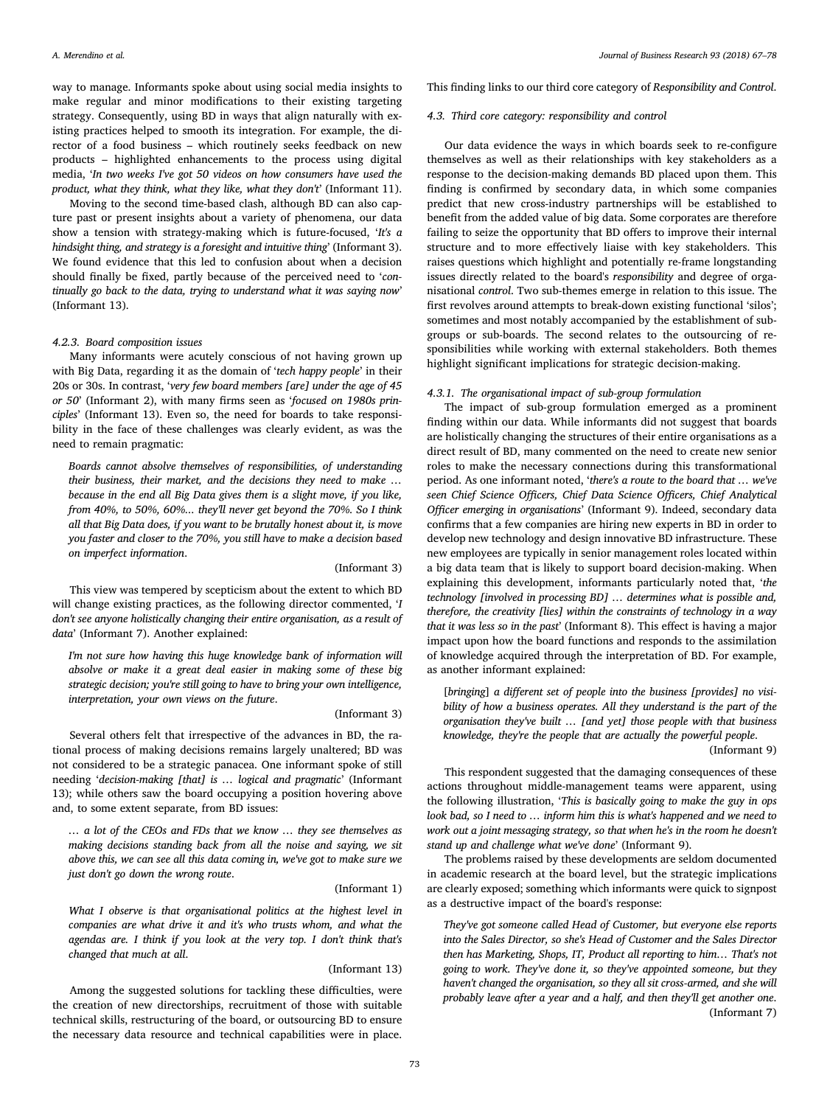way to manage. Informants spoke about using social media insights to make regular and minor modifications to their existing targeting strategy. Consequently, using BD in ways that align naturally with existing practices helped to smooth its integration. For example, the director of a food business – which routinely seeks feedback on new products – highlighted enhancements to the process using digital media, 'In two weeks I've got 50 videos on how consumers have used the product, what they think, what they like, what they don't' (Informant 11).

Moving to the second time-based clash, although BD can also capture past or present insights about a variety of phenomena, our data show a tension with strategy-making which is future-focused, 'It's a hindsight thing, and strategy is a foresight and intuitive thing' (Informant 3). We found evidence that this led to confusion about when a decision should finally be fixed, partly because of the perceived need to 'continually go back to the data, trying to understand what it was saying now' (Informant 13).

# 4.2.3. Board composition issues

Many informants were acutely conscious of not having grown up with Big Data, regarding it as the domain of 'tech happy people' in their 20s or 30s. In contrast, 'very few board members [are] under the age of 45 or 50' (Informant 2), with many firms seen as 'focused on 1980s principles' (Informant 13). Even so, the need for boards to take responsibility in the face of these challenges was clearly evident, as was the need to remain pragmatic:

Boards cannot absolve themselves of responsibilities, of understanding their business, their market, and the decisions they need to make … because in the end all Big Data gives them is a slight move, if you like, from 40%, to 50%, 60%... they'll never get beyond the 70%. So I think all that Big Data does, if you want to be brutally honest about it, is move you faster and closer to the 70%, you still have to make a decision based on imperfect information.

# (Informant 3)

This view was tempered by scepticism about the extent to which BD will change existing practices, as the following director commented, 'I don't see anyone holistically changing their entire organisation, as a result of data' (Informant 7). Another explained:

I'm not sure how having this huge knowledge bank of information will absolve or make it a great deal easier in making some of these big strategic decision; you're still going to have to bring your own intelligence, interpretation, your own views on the future.

# (Informant 3)

Several others felt that irrespective of the advances in BD, the rational process of making decisions remains largely unaltered; BD was not considered to be a strategic panacea. One informant spoke of still needing 'decision-making [that] is … logical and pragmatic' (Informant 13); while others saw the board occupying a position hovering above and, to some extent separate, from BD issues:

… a lot of the CEOs and FDs that we know … they see themselves as making decisions standing back from all the noise and saying, we sit above this, we can see all this data coming in, we've got to make sure we just don't go down the wrong route.

#### (Informant 1)

What I observe is that organisational politics at the highest level in companies are what drive it and it's who trusts whom, and what the agendas are. I think if you look at the very top. I don't think that's changed that much at all.

#### (Informant 13)

Among the suggested solutions for tackling these difficulties, were the creation of new directorships, recruitment of those with suitable technical skills, restructuring of the board, or outsourcing BD to ensure the necessary data resource and technical capabilities were in place.

This finding links to our third core category of Responsibility and Control.

# 4.3. Third core category: responsibility and control

Our data evidence the ways in which boards seek to re-configure themselves as well as their relationships with key stakeholders as a response to the decision-making demands BD placed upon them. This finding is confirmed by secondary data, in which some companies predict that new cross-industry partnerships will be established to benefit from the added value of big data. Some corporates are therefore failing to seize the opportunity that BD offers to improve their internal structure and to more effectively liaise with key stakeholders. This raises questions which highlight and potentially re-frame longstanding issues directly related to the board's responsibility and degree of organisational control. Two sub-themes emerge in relation to this issue. The first revolves around attempts to break-down existing functional 'silos'; sometimes and most notably accompanied by the establishment of subgroups or sub-boards. The second relates to the outsourcing of responsibilities while working with external stakeholders. Both themes highlight significant implications for strategic decision-making.

# 4.3.1. The organisational impact of sub-group formulation

The impact of sub-group formulation emerged as a prominent finding within our data. While informants did not suggest that boards are holistically changing the structures of their entire organisations as a direct result of BD, many commented on the need to create new senior roles to make the necessary connections during this transformational period. As one informant noted, 'there's a route to the board that … we've seen Chief Science Officers, Chief Data Science Officers, Chief Analytical Officer emerging in organisations' (Informant 9). Indeed, secondary data confirms that a few companies are hiring new experts in BD in order to develop new technology and design innovative BD infrastructure. These new employees are typically in senior management roles located within a big data team that is likely to support board decision-making. When explaining this development, informants particularly noted that, 'the technology [involved in processing BD] … determines what is possible and, therefore, the creativity [lies] within the constraints of technology in a way that it was less so in the past' (Informant 8). This effect is having a major impact upon how the board functions and responds to the assimilation of knowledge acquired through the interpretation of BD. For example, as another informant explained:

[bringing] a different set of people into the business [provides] no visibility of how a business operates. All they understand is the part of the organisation they've built … [and yet] those people with that business knowledge, they're the people that are actually the powerful people.

(Informant 9)

This respondent suggested that the damaging consequences of these actions throughout middle-management teams were apparent, using the following illustration, 'This is basically going to make the guy in ops look bad, so I need to … inform him this is what's happened and we need to work out a joint messaging strategy, so that when he's in the room he doesn't stand up and challenge what we've done' (Informant 9).

The problems raised by these developments are seldom documented in academic research at the board level, but the strategic implications are clearly exposed; something which informants were quick to signpost as a destructive impact of the board's response:

They've got someone called Head of Customer, but everyone else reports into the Sales Director, so she's Head of Customer and the Sales Director then has Marketing, Shops, IT, Product all reporting to him… That's not going to work. They've done it, so they've appointed someone, but they haven't changed the organisation, so they all sit cross-armed, and she will probably leave after a year and a half, and then they'll get another one. (Informant 7)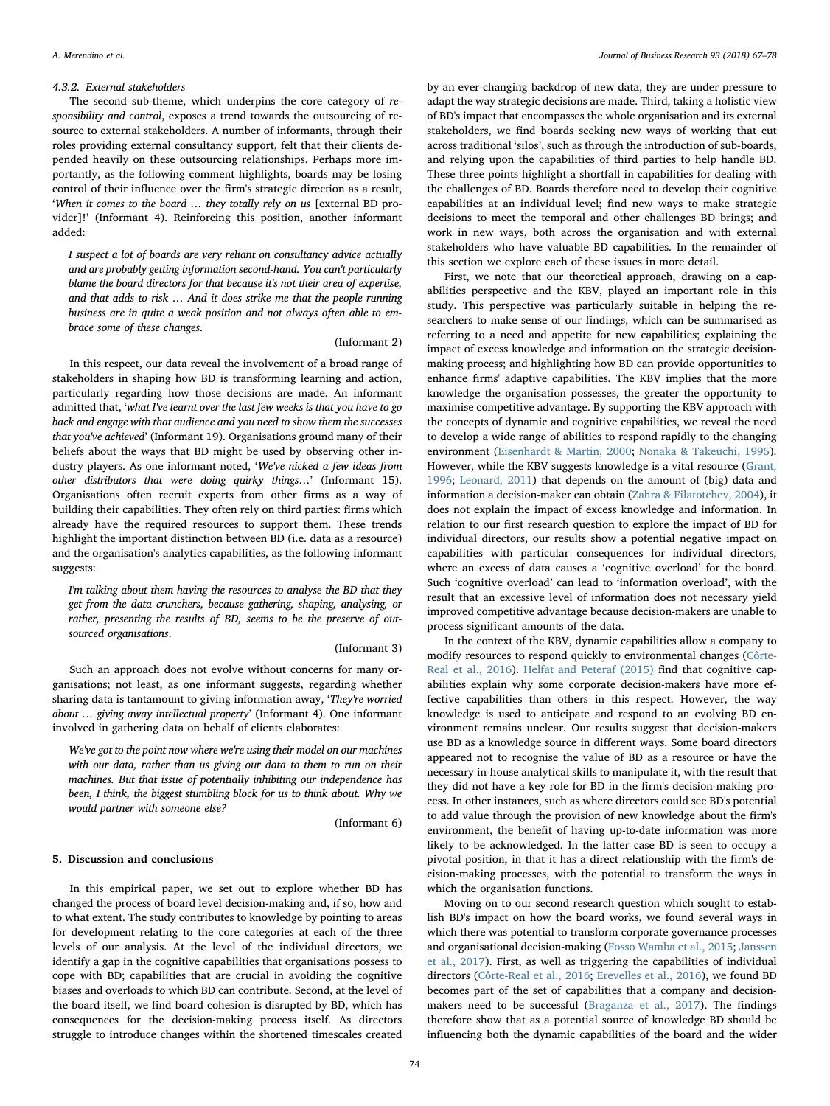#### 4.3.2. External stakeholders

The second sub-theme, which underpins the core category of responsibility and control, exposes a trend towards the outsourcing of resource to external stakeholders. A number of informants, through their roles providing external consultancy support, felt that their clients depended heavily on these outsourcing relationships. Perhaps more importantly, as the following comment highlights, boards may be losing control of their influence over the firm's strategic direction as a result, 'When it comes to the board … they totally rely on us [external BD provider]!' (Informant 4). Reinforcing this position, another informant added:

I suspect a lot of boards are very reliant on consultancy advice actually and are probably getting information second-hand. You can't particularly blame the board directors for that because it's not their area of expertise, and that adds to risk … And it does strike me that the people running business are in quite a weak position and not always often able to embrace some of these changes.

#### (Informant 2)

In this respect, our data reveal the involvement of a broad range of stakeholders in shaping how BD is transforming learning and action, particularly regarding how those decisions are made. An informant admitted that, 'what I've learnt over the last few weeks is that you have to go back and engage with that audience and you need to show them the successes that you've achieved' (Informant 19). Organisations ground many of their beliefs about the ways that BD might be used by observing other industry players. As one informant noted, 'We've nicked a few ideas from other distributors that were doing quirky things…' (Informant 15). Organisations often recruit experts from other firms as a way of building their capabilities. They often rely on third parties: firms which already have the required resources to support them. These trends highlight the important distinction between BD (i.e. data as a resource) and the organisation's analytics capabilities, as the following informant suggests:

I'm talking about them having the resources to analyse the BD that they get from the data crunchers, because gathering, shaping, analysing, or rather, presenting the results of BD, seems to be the preserve of outsourced organisations.

#### (Informant 3)

Such an approach does not evolve without concerns for many organisations; not least, as one informant suggests, regarding whether sharing data is tantamount to giving information away, 'They're worried about … giving away intellectual property' (Informant 4). One informant involved in gathering data on behalf of clients elaborates:

We've got to the point now where we're using their model on our machines with our data, rather than us giving our data to them to run on their machines. But that issue of potentially inhibiting our independence has been, I think, the biggest stumbling block for us to think about. Why we would partner with someone else?

(Informant 6)

# 5. Discussion and conclusions

In this empirical paper, we set out to explore whether BD has changed the process of board level decision-making and, if so, how and to what extent. The study contributes to knowledge by pointing to areas for development relating to the core categories at each of the three levels of our analysis. At the level of the individual directors, we identify a gap in the cognitive capabilities that organisations possess to cope with BD; capabilities that are crucial in avoiding the cognitive biases and overloads to which BD can contribute. Second, at the level of the board itself, we find board cohesion is disrupted by BD, which has consequences for the decision-making process itself. As directors struggle to introduce changes within the shortened timescales created by an ever-changing backdrop of new data, they are under pressure to adapt the way strategic decisions are made. Third, taking a holistic view of BD's impact that encompasses the whole organisation and its external stakeholders, we find boards seeking new ways of working that cut across traditional 'silos', such as through the introduction of sub-boards, and relying upon the capabilities of third parties to help handle BD. These three points highlight a shortfall in capabilities for dealing with the challenges of BD. Boards therefore need to develop their cognitive capabilities at an individual level; find new ways to make strategic decisions to meet the temporal and other challenges BD brings; and work in new ways, both across the organisation and with external stakeholders who have valuable BD capabilities. In the remainder of this section we explore each of these issues in more detail.

First, we note that our theoretical approach, drawing on a capabilities perspective and the KBV, played an important role in this study. This perspective was particularly suitable in helping the researchers to make sense of our findings, which can be summarised as referring to a need and appetite for new capabilities; explaining the impact of excess knowledge and information on the strategic decisionmaking process; and highlighting how BD can provide opportunities to enhance firms' adaptive capabilities. The KBV implies that the more knowledge the organisation possesses, the greater the opportunity to maximise competitive advantage. By supporting the KBV approach with the concepts of dynamic and cognitive capabilities, we reveal the need to develop a wide range of abilities to respond rapidly to the changing environment ([Eisenhardt & Martin, 2000](#page-10-40); [Nonaka & Takeuchi, 1995](#page-10-26)). However, while the KBV suggests knowledge is a vital resource ([Grant,](#page-10-29) [1996;](#page-10-29) [Leonard, 2011](#page-10-67)) that depends on the amount of (big) data and information a decision-maker can obtain ([Zahra & Filatotchev, 2004](#page-10-68)), it does not explain the impact of excess knowledge and information. In relation to our first research question to explore the impact of BD for individual directors, our results show a potential negative impact on capabilities with particular consequences for individual directors, where an excess of data causes a 'cognitive overload' for the board. Such 'cognitive overload' can lead to 'information overload', with the result that an excessive level of information does not necessary yield improved competitive advantage because decision-makers are unable to process significant amounts of the data.

In the context of the KBV, dynamic capabilities allow a company to modify resources to respond quickly to environmental changes [\(Côrte-](#page-9-2)[Real et al., 2016](#page-9-2)). [Helfat and Peteraf \(2015\)](#page-10-30) find that cognitive capabilities explain why some corporate decision-makers have more effective capabilities than others in this respect. However, the way knowledge is used to anticipate and respond to an evolving BD environment remains unclear. Our results suggest that decision-makers use BD as a knowledge source in different ways. Some board directors appeared not to recognise the value of BD as a resource or have the necessary in-house analytical skills to manipulate it, with the result that they did not have a key role for BD in the firm's decision-making process. In other instances, such as where directors could see BD's potential to add value through the provision of new knowledge about the firm's environment, the benefit of having up-to-date information was more likely to be acknowledged. In the latter case BD is seen to occupy a pivotal position, in that it has a direct relationship with the firm's decision-making processes, with the potential to transform the ways in which the organisation functions.

Moving on to our second research question which sought to establish BD's impact on how the board works, we found several ways in which there was potential to transform corporate governance processes and organisational decision-making ([Fosso Wamba et al., 2015](#page-10-3); [Janssen](#page-10-2) [et al., 2017](#page-10-2)). First, as well as triggering the capabilities of individual directors [\(Côrte-Real et al., 2016;](#page-9-2) [Erevelles et al., 2016\)](#page-10-11), we found BD becomes part of the set of capabilities that a company and decisionmakers need to be successful [\(Braganza et al., 2017\)](#page-9-14). The findings therefore show that as a potential source of knowledge BD should be influencing both the dynamic capabilities of the board and the wider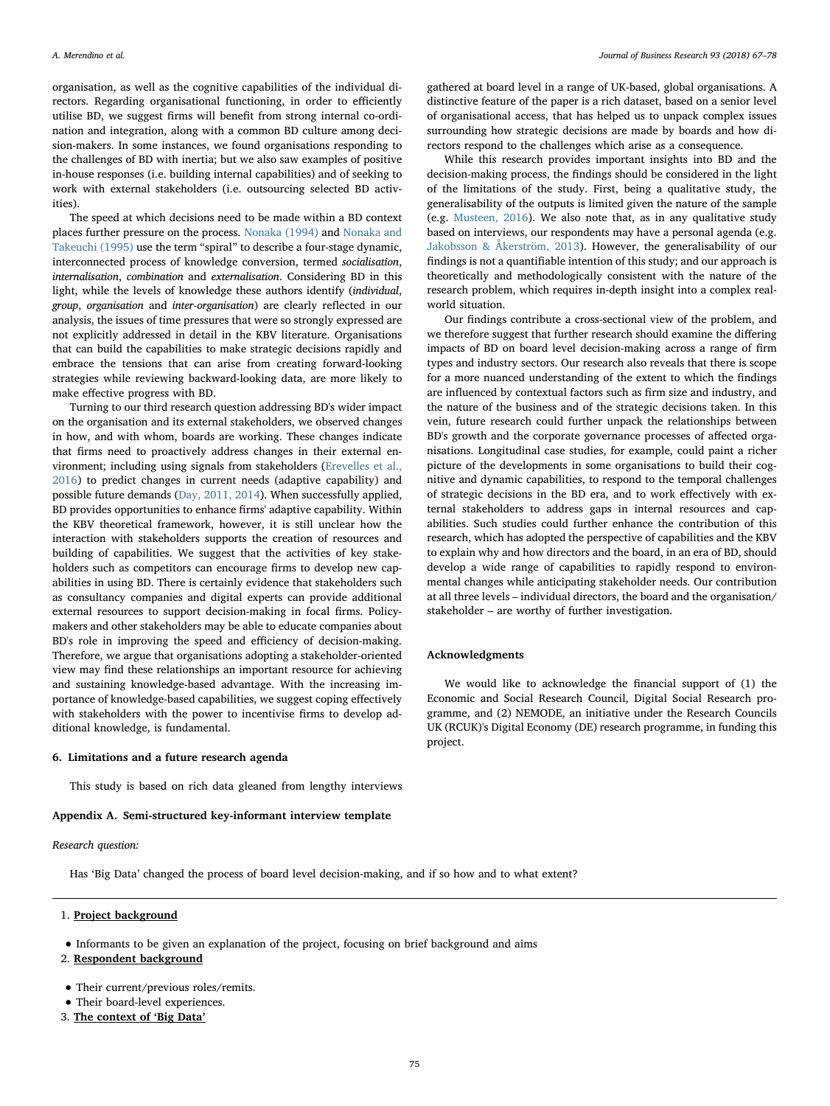organisation, as well as the cognitive capabilities of the individual directors. Regarding organisational functioning, in order to efficiently utilise BD, we suggest firms will benefit from strong internal co-ordination and integration, along with a common BD culture among decision-makers. In some instances, we found organisations responding to the challenges of BD with inertia; but we also saw examples of positive in-house responses (i.e. building internal capabilities) and of seeking to work with external stakeholders (i.e. outsourcing selected BD activities).

The speed at which decisions need to be made within a BD context places further pressure on the process. [Nonaka \(1994\)](#page-10-22) and [Nonaka and](#page-10-26) [Takeuchi \(1995\)](#page-10-26) use the term "spiral" to describe a four-stage dynamic, interconnected process of knowledge conversion, termed socialisation, internalisation, combination and externalisation. Considering BD in this light, while the levels of knowledge these authors identify (individual, group, organisation and inter-organisation) are clearly reflected in our analysis, the issues of time pressures that were so strongly expressed are not explicitly addressed in detail in the KBV literature. Organisations that can build the capabilities to make strategic decisions rapidly and embrace the tensions that can arise from creating forward-looking strategies while reviewing backward-looking data, are more likely to make effective progress with BD.

Turning to our third research question addressing BD's wider impact on the organisation and its external stakeholders, we observed changes in how, and with whom, boards are working. These changes indicate that firms need to proactively address changes in their external environment; including using signals from stakeholders ([Erevelles et al.,](#page-10-11) [2016\)](#page-10-11) to predict changes in current needs (adaptive capability) and possible future demands [\(Day, 2011, 2014\)](#page-10-69). When successfully applied, BD provides opportunities to enhance firms' adaptive capability. Within the KBV theoretical framework, however, it is still unclear how the interaction with stakeholders supports the creation of resources and building of capabilities. We suggest that the activities of key stakeholders such as competitors can encourage firms to develop new capabilities in using BD. There is certainly evidence that stakeholders such as consultancy companies and digital experts can provide additional external resources to support decision-making in focal firms. Policymakers and other stakeholders may be able to educate companies about BD's role in improving the speed and efficiency of decision-making. Therefore, we argue that organisations adopting a stakeholder-oriented view may find these relationships an important resource for achieving and sustaining knowledge-based advantage. With the increasing importance of knowledge-based capabilities, we suggest coping effectively with stakeholders with the power to incentivise firms to develop additional knowledge, is fundamental.

#### 6. Limitations and a future research agenda

This study is based on rich data gleaned from lengthy interviews

# <span id="page-8-0"></span>Appendix A. Semi-structured key-informant interview template

Has 'Big Data' changed the process of board level decision-making, and if so how and to what extent?

# 1. Project background

• Informants to be given an explanation of the project, focusing on brief background and aims

2. Respondent background

- Their current/previous roles/remits.
- Their board-level experiences.
- 3. The context of 'Big Data'

gathered at board level in a range of UK-based, global organisations. A distinctive feature of the paper is a rich dataset, based on a senior level of organisational access, that has helped us to unpack complex issues surrounding how strategic decisions are made by boards and how directors respond to the challenges which arise as a consequence.

While this research provides important insights into BD and the decision-making process, the findings should be considered in the light of the limitations of the study. First, being a qualitative study, the generalisability of the outputs is limited given the nature of the sample (e.g. [Musteen, 2016](#page-10-70)). We also note that, as in any qualitative study based on interviews, our respondents may have a personal agenda (e.g. [Jakobsson & Åkerström, 2013](#page-10-71)). However, the generalisability of our findings is not a quantifiable intention of this study; and our approach is theoretically and methodologically consistent with the nature of the research problem, which requires in-depth insight into a complex realworld situation.

Our findings contribute a cross-sectional view of the problem, and we therefore suggest that further research should examine the differing impacts of BD on board level decision-making across a range of firm types and industry sectors. Our research also reveals that there is scope for a more nuanced understanding of the extent to which the findings are influenced by contextual factors such as firm size and industry, and the nature of the business and of the strategic decisions taken. In this vein, future research could further unpack the relationships between BD's growth and the corporate governance processes of affected organisations. Longitudinal case studies, for example, could paint a richer picture of the developments in some organisations to build their cognitive and dynamic capabilities, to respond to the temporal challenges of strategic decisions in the BD era, and to work effectively with external stakeholders to address gaps in internal resources and capabilities. Such studies could further enhance the contribution of this research, which has adopted the perspective of capabilities and the KBV to explain why and how directors and the board, in an era of BD, should develop a wide range of capabilities to rapidly respond to environmental changes while anticipating stakeholder needs. Our contribution at all three levels – individual directors, the board and the organisation/ stakeholder – are worthy of further investigation.

#### Acknowledgments

We would like to acknowledge the financial support of (1) the Economic and Social Research Council, Digital Social Research programme, and (2) NEMODE, an initiative under the Research Councils UK (RCUK)'s Digital Economy (DE) research programme, in funding this project.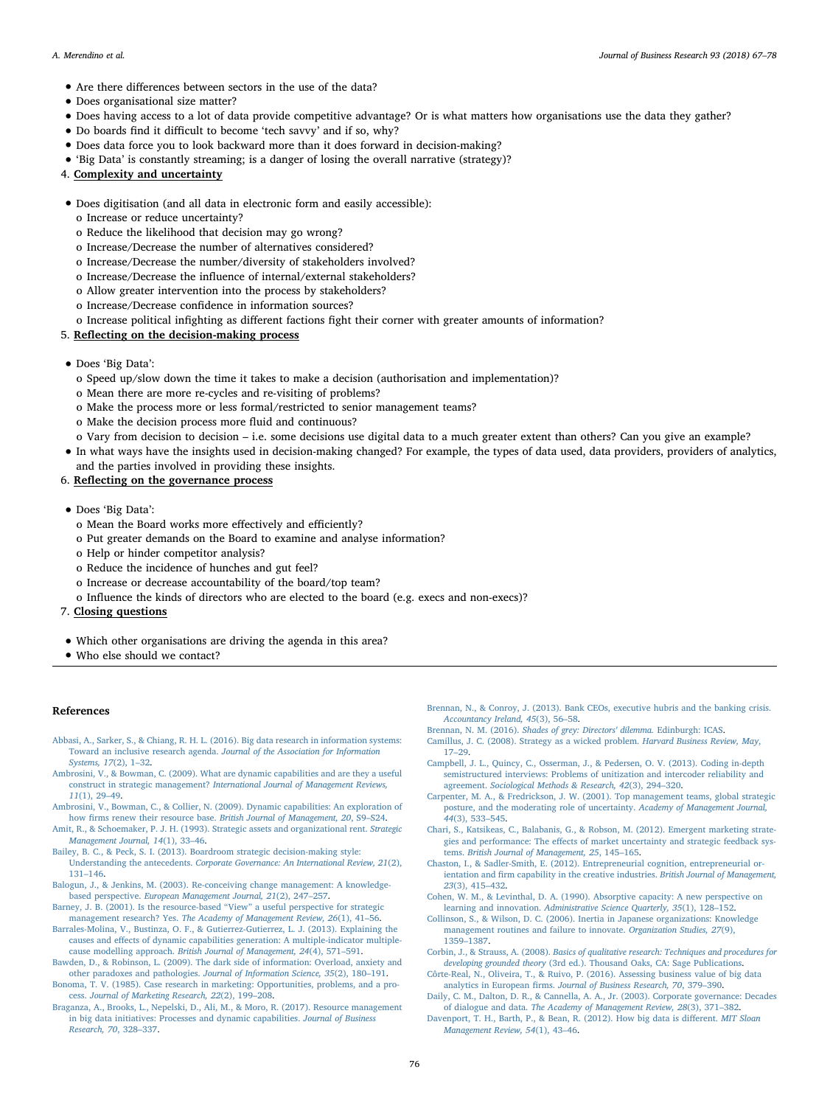- Are there differences between sectors in the use of the data?
- Does organisational size matter?
- Does having access to a lot of data provide competitive advantage? Or is what matters how organisations use the data they gather?
- Do boards find it difficult to become 'tech savvy' and if so, why?
- Does data force you to look backward more than it does forward in decision-making?
- 'Big Data' is constantly streaming; is a danger of losing the overall narrative (strategy)?
- 4. Complexity and uncertainty
- Does digitisation (and all data in electronic form and easily accessible):
	- o Increase or reduce uncertainty?
	- o Reduce the likelihood that decision may go wrong?
	- o Increase/Decrease the number of alternatives considered?
	- o Increase/Decrease the number/diversity of stakeholders involved?
	- o Increase/Decrease the influence of internal/external stakeholders?
	- o Allow greater intervention into the process by stakeholders?
	- o Increase/Decrease confidence in information sources?
- o Increase political infighting as different factions fight their corner with greater amounts of information?

# 5. Reflecting on the decision-making process

- Does 'Big Data':
	- o Speed up/slow down the time it takes to make a decision (authorisation and implementation)?
	- o Mean there are more re-cycles and re-visiting of problems?
	- o Make the process more or less formal/restricted to senior management teams?
	- o Make the decision process more fluid and continuous?
- o Vary from decision to decision i.e. some decisions use digital data to a much greater extent than others? Can you give an example?
- In what ways have the insights used in decision-making changed? For example, the types of data used, data providers, providers of analytics, and the parties involved in providing these insights.
- 6. Reflecting on the governance process
- Does 'Big Data':
	- o Mean the Board works more effectively and efficiently?
	- o Put greater demands on the Board to examine and analyse information?
	- o Help or hinder competitor analysis?
	- o Reduce the incidence of hunches and gut feel?
	- o Increase or decrease accountability of the board/top team?
- o Influence the kinds of directors who are elected to the board (e.g. execs and non-execs)?
- 7. Closing questions
- Which other organisations are driving the agenda in this area?
- Who else should we contact?

# References

- <span id="page-9-0"></span>[Abbasi, A., Sarker, S., & Chiang, R. H. L. \(2016\). Big data research in information systems:](http://refhub.elsevier.com/S0148-2963(18)30413-2/rf0005) Toward an inclusive research agenda. [Journal of the Association for Information](http://refhub.elsevier.com/S0148-2963(18)30413-2/rf0005) [Systems, 17](http://refhub.elsevier.com/S0148-2963(18)30413-2/rf0005)(2), 1–32.
- <span id="page-9-6"></span>[Ambrosini, V., & Bowman, C. \(2009\). What are dynamic capabilities and are they a useful](http://refhub.elsevier.com/S0148-2963(18)30413-2/rf0010) construct in strategic management? [International Journal of Management Reviews,](http://refhub.elsevier.com/S0148-2963(18)30413-2/rf0010) 11[\(1\), 29](http://refhub.elsevier.com/S0148-2963(18)30413-2/rf0010)–49.
- <span id="page-9-12"></span>[Ambrosini, V., Bowman, C., & Collier, N. \(2009\). Dynamic capabilities: An exploration of](http://refhub.elsevier.com/S0148-2963(18)30413-2/rf0015) how firms renew their resource base. [British Journal of Management, 20](http://refhub.elsevier.com/S0148-2963(18)30413-2/rf0015), S9–S24. [Amit, R., & Schoemaker, P. J. H. \(1993\). Strategic assets and organizational rent.](http://refhub.elsevier.com/S0148-2963(18)30413-2/rf0020) Strategic
- <span id="page-9-17"></span><span id="page-9-7"></span>[Management Journal, 14](http://refhub.elsevier.com/S0148-2963(18)30413-2/rf0020)(1), 33–46. [Bailey, B. C., & Peck, S. I. \(2013\). Boardroom strategic decision-making style:](http://refhub.elsevier.com/S0148-2963(18)30413-2/rf0025)
- Understanding the antecedents. [Corporate Governance: An International Review, 21](http://refhub.elsevier.com/S0148-2963(18)30413-2/rf0025)(2), 131–[146](http://refhub.elsevier.com/S0148-2963(18)30413-2/rf0025).
- <span id="page-9-11"></span>[Balogun, J., & Jenkins, M. \(2003\). Re-conceiving change management: A knowledge](http://refhub.elsevier.com/S0148-2963(18)30413-2/rf0030)based perspective. [European Management Journal, 21](http://refhub.elsevier.com/S0148-2963(18)30413-2/rf0030)(2), 247–257.
- <span id="page-9-4"></span>[Barney, J. B. \(2001\). Is the resource-based](http://refhub.elsevier.com/S0148-2963(18)30413-2/rf0035) "View" a useful perspective for strategic management research? Yes. [The Academy of Management Review, 26](http://refhub.elsevier.com/S0148-2963(18)30413-2/rf0035)(1), 41–56.
- <span id="page-9-13"></span>[Barrales-Molina, V., Bustinza, O. F., & Gutierrez-Gutierrez, L. J. \(2013\). Explaining the](http://refhub.elsevier.com/S0148-2963(18)30413-2/rf0040) causes and eff[ects of dynamic capabilities generation: A multiple-indicator multiple](http://refhub.elsevier.com/S0148-2963(18)30413-2/rf0040)cause modelling approach. [British Journal of Management, 24](http://refhub.elsevier.com/S0148-2963(18)30413-2/rf0040)(4), 571–591.
- <span id="page-9-23"></span>[Bawden, D., & Robinson, L. \(2009\). The dark side of information: Overload, anxiety and](http://refhub.elsevier.com/S0148-2963(18)30413-2/rf0045) other paradoxes and pathologies. [Journal of Information Science, 35](http://refhub.elsevier.com/S0148-2963(18)30413-2/rf0045)(2), 180–191. [Bonoma, T. V. \(1985\). Case research in marketing: Opportunities, problems, and a pro-](http://refhub.elsevier.com/S0148-2963(18)30413-2/rf0050)
- <span id="page-9-21"></span>cess. [Journal of Marketing Research, 22](http://refhub.elsevier.com/S0148-2963(18)30413-2/rf0050)(2), 199–208. [Braganza, A., Brooks, L., Nepelski, D., Ali, M., & Moro, R. \(2017\). Resource management](http://refhub.elsevier.com/S0148-2963(18)30413-2/rf0055)
- <span id="page-9-14"></span>[in big data initiatives: Processes and dynamic capabilities.](http://refhub.elsevier.com/S0148-2963(18)30413-2/rf0055) Journal of Business [Research, 70](http://refhub.elsevier.com/S0148-2963(18)30413-2/rf0055), 328–337.
- <span id="page-9-8"></span>[Brennan, N., & Conroy, J. \(2013\). Bank CEOs, executive hubris and the banking crisis.](http://refhub.elsevier.com/S0148-2963(18)30413-2/rf0060) [Accountancy Ireland, 45](http://refhub.elsevier.com/S0148-2963(18)30413-2/rf0060)(3), 56–58.
- <span id="page-9-22"></span>Brennan, N. M. (2016). [Shades of grey: Directors' dilemma.](http://refhub.elsevier.com/S0148-2963(18)30413-2/rf0065) Edinburgh: ICAS.
- <span id="page-9-3"></span>[Camillus, J. C. \(2008\). Strategy as a wicked problem.](http://refhub.elsevier.com/S0148-2963(18)30413-2/rf0070) Harvard Business Review, May, 17–[29](http://refhub.elsevier.com/S0148-2963(18)30413-2/rf0070).
- <span id="page-9-20"></span>Campbell, [J. L., Quincy, C., Osserman, J., & Pedersen, O. V. \(2013\). Coding in-depth](http://refhub.elsevier.com/S0148-2963(18)30413-2/rf0075) [semistructured interviews: Problems of unitization and intercoder reliability and](http://refhub.elsevier.com/S0148-2963(18)30413-2/rf0075) agreement. [Sociological Methods & Research, 42](http://refhub.elsevier.com/S0148-2963(18)30413-2/rf0075)(3), 294–320.
- <span id="page-9-10"></span>[Carpenter, M. A., & Fredrickson, J. W. \(2001\). Top management teams, global strategic](http://refhub.elsevier.com/S0148-2963(18)30413-2/rf0080) [posture, and the moderating role of uncertainty.](http://refhub.elsevier.com/S0148-2963(18)30413-2/rf0080) Academy of Management Journal, 44[\(3\), 533](http://refhub.elsevier.com/S0148-2963(18)30413-2/rf0080)–545.
- <span id="page-9-1"></span>[Chari, S., Katsikeas, C., Balabanis, G., & Robson, M. \(2012\). Emergent marketing strate](http://refhub.elsevier.com/S0148-2963(18)30413-2/rf0085)gies and performance: The eff[ects of market uncertainty and strategic feedback sys](http://refhub.elsevier.com/S0148-2963(18)30413-2/rf0085)tems. [British Journal of Management, 25](http://refhub.elsevier.com/S0148-2963(18)30413-2/rf0085), 145–165.
- <span id="page-9-9"></span>[Chaston, I., & Sadler-Smith, E. \(2012\). Entrepreneurial cognition, entrepreneurial or](http://refhub.elsevier.com/S0148-2963(18)30413-2/rf0090)ientation and fi[rm capability in the creative industries.](http://refhub.elsevier.com/S0148-2963(18)30413-2/rf0090) British Journal of Management, 23[\(3\), 415](http://refhub.elsevier.com/S0148-2963(18)30413-2/rf0090)–432.
- <span id="page-9-16"></span>[Cohen, W. M., & Levinthal, D. A. \(1990\). Absorptive capacity: A new perspective on](http://refhub.elsevier.com/S0148-2963(18)30413-2/rf0095) learning and innovation. [Administrative Science Quarterly, 35](http://refhub.elsevier.com/S0148-2963(18)30413-2/rf0095)(1), 128–152.
- <span id="page-9-5"></span>[Collinson, S., & Wilson, D. C. \(2006\). Inertia in Japanese organizations: Knowledge](http://refhub.elsevier.com/S0148-2963(18)30413-2/rf0100) [management routines and failure to innovate.](http://refhub.elsevier.com/S0148-2963(18)30413-2/rf0100) Organization Studies, 27(9), 1359–[1387](http://refhub.elsevier.com/S0148-2963(18)30413-2/rf0100).
- <span id="page-9-19"></span>Corbin, J., & Strauss, A. (2008). [Basics of qualitative research: Techniques and procedures for](http://refhub.elsevier.com/S0148-2963(18)30413-2/rf0105) developing grounded theory [\(3rd ed.\). Thousand Oaks, CA: Sage Publications.](http://refhub.elsevier.com/S0148-2963(18)30413-2/rf0105)
- <span id="page-9-2"></span>[Côrte-Real, N., Oliveira, T., & Ruivo, P. \(2016\). Assessing business value of big data](http://refhub.elsevier.com/S0148-2963(18)30413-2/rf0110) analytics in European firms. [Journal of Business Research, 70](http://refhub.elsevier.com/S0148-2963(18)30413-2/rf0110), 379–390.
- <span id="page-9-18"></span>[Daily, C. M., Dalton, D. R., & Cannella, A. A., Jr. \(2003\). Corporate governance: Decades](http://refhub.elsevier.com/S0148-2963(18)30413-2/rf0115) of dialogue and data. [The Academy of Management Review, 28](http://refhub.elsevier.com/S0148-2963(18)30413-2/rf0115)(3), 371–382.
- <span id="page-9-15"></span>[Davenport, T. H., Barth, P., & Bean, R. \(2012\). How big data is di](http://refhub.elsevier.com/S0148-2963(18)30413-2/rf0120)fferent. MIT Sloan [Management Review, 54](http://refhub.elsevier.com/S0148-2963(18)30413-2/rf0120)(1), 43–46.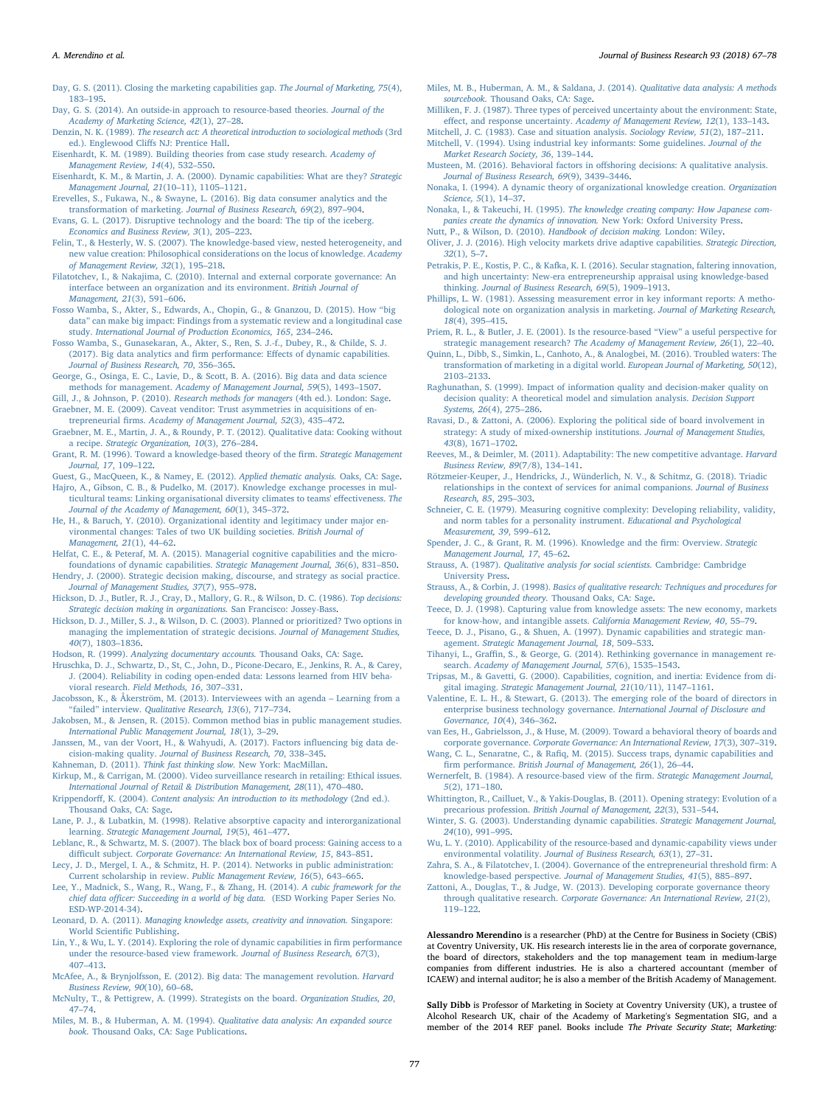<span id="page-10-69"></span>[Day, G. S. \(2011\). Closing the marketing capabilities gap.](http://refhub.elsevier.com/S0148-2963(18)30413-2/rf0125) The Journal of Marketing, 75(4), 183–[195](http://refhub.elsevier.com/S0148-2963(18)30413-2/rf0125).

[Day, G. S. \(2014\). An outside-in approach to resource-based theories.](http://refhub.elsevier.com/S0148-2963(18)30413-2/rf0130) Journal of the [Academy of Marketing Science, 42](http://refhub.elsevier.com/S0148-2963(18)30413-2/rf0130)(1), 27–28.

- <span id="page-10-61"></span>Denzin, N. K. (1989). [The research act: A theoretical introduction to sociological methods](http://refhub.elsevier.com/S0148-2963(18)30413-2/rf0135) (3rd [ed.\). Englewood Cli](http://refhub.elsevier.com/S0148-2963(18)30413-2/rf0135)ffs NJ: Prentice Hall.
- <span id="page-10-65"></span>[Eisenhardt, K. M. \(1989\). Building theories from case study research.](http://refhub.elsevier.com/S0148-2963(18)30413-2/rf0140) Academy of [Management Review, 14](http://refhub.elsevier.com/S0148-2963(18)30413-2/rf0140)(4), 532–550.
- <span id="page-10-40"></span>[Eisenhardt, K. M., & Martin, J. A. \(2000\). Dynamic capabilities: What are they?](http://refhub.elsevier.com/S0148-2963(18)30413-2/rf0145) Strategic [Management Journal, 21](http://refhub.elsevier.com/S0148-2963(18)30413-2/rf0145)(10–11), 1105–1121.
- <span id="page-10-11"></span>[Erevelles, S., Fukawa, N., & Swayne, L. \(2016\). Big data consumer analytics and the](http://refhub.elsevier.com/S0148-2963(18)30413-2/rf0150) transformation of marketing. [Journal of Business Research, 69](http://refhub.elsevier.com/S0148-2963(18)30413-2/rf0150)(2), 897–904.
- <span id="page-10-0"></span>[Evans, G. L. \(2017\). Disruptive technology and the board: The tip of the iceberg.](http://refhub.elsevier.com/S0148-2963(18)30413-2/rf0155) [Economics and Business Review, 3](http://refhub.elsevier.com/S0148-2963(18)30413-2/rf0155)(1), 205–223.
- <span id="page-10-21"></span>[Felin, T., & Hesterly, W. S. \(2007\). The knowledge-based view, nested heterogeneity, and](http://refhub.elsevier.com/S0148-2963(18)30413-2/rf0160) [new value creation: Philosophical considerations on the locus of knowledge.](http://refhub.elsevier.com/S0148-2963(18)30413-2/rf0160) Academy [of Management Review, 32](http://refhub.elsevier.com/S0148-2963(18)30413-2/rf0160)(1), 195–218.
- <span id="page-10-17"></span>[Filatotchev, I., & Nakajima, C. \(2010\). Internal and external corporate governance: An](http://refhub.elsevier.com/S0148-2963(18)30413-2/rf0165) [interface between an organization and its environment.](http://refhub.elsevier.com/S0148-2963(18)30413-2/rf0165) British Journal of [Management, 21](http://refhub.elsevier.com/S0148-2963(18)30413-2/rf0165)(3), 591–606.
- <span id="page-10-3"></span>[Fosso Wamba, S., Akter, S., Edwards, A., Chopin, G., & Gnanzou, D. \(2015\). How](http://refhub.elsevier.com/S0148-2963(18)30413-2/rf0170) "big data" [can make big impact: Findings from a systematic review and a longitudinal case](http://refhub.elsevier.com/S0148-2963(18)30413-2/rf0170) study. [International Journal of Production Economics, 165](http://refhub.elsevier.com/S0148-2963(18)30413-2/rf0170), 234–246.
- <span id="page-10-13"></span>[Fosso Wamba, S., Gunasekaran, A., Akter, S., Ren, S. J.-f., Dubey, R., & Childe, S. J.](http://refhub.elsevier.com/S0148-2963(18)30413-2/rf0175) [\(2017\). Big data analytics and](http://refhub.elsevier.com/S0148-2963(18)30413-2/rf0175) firm performance: Effects of dynamic capabilities. [Journal of Business Research, 70](http://refhub.elsevier.com/S0148-2963(18)30413-2/rf0175), 356–365.
- <span id="page-10-12"></span>[George, G., Osinga, E. C., Lavie, D., & Scott, B. A. \(2016\). Big data and data science](http://refhub.elsevier.com/S0148-2963(18)30413-2/rf0180) methods for management. [Academy of Management Journal, 59](http://refhub.elsevier.com/S0148-2963(18)30413-2/rf0180)(5), 1493–1507.
- <span id="page-10-51"></span><span id="page-10-45"></span>Gill, J., & Johnson, P. (2010). [Research methods for managers](http://refhub.elsevier.com/S0148-2963(18)30413-2/rf0185) (4th ed.). London: Sage. [Graebner, M. E. \(2009\). Caveat venditor: Trust asymmetries in acquisitions of en](http://refhub.elsevier.com/S0148-2963(18)30413-2/rf0190)trepreneurial firms. Academy [of Management Journal, 52](http://refhub.elsevier.com/S0148-2963(18)30413-2/rf0190)(3), 435–472.
- <span id="page-10-43"></span>[Graebner, M. E., Martin, J. A., & Roundy, P. T. \(2012\). Qualitative data: Cooking without](http://refhub.elsevier.com/S0148-2963(18)30413-2/rf0195) a recipe. [Strategic Organization, 10](http://refhub.elsevier.com/S0148-2963(18)30413-2/rf0195)(3), 276–284.
- <span id="page-10-29"></span>[Grant, R. M. \(1996\). Toward a knowledge-based theory of the](http://refhub.elsevier.com/S0148-2963(18)30413-2/rf0200) firm. Strategic Management [Journal, 17](http://refhub.elsevier.com/S0148-2963(18)30413-2/rf0200), 109–122.
- <span id="page-10-62"></span><span id="page-10-47"></span>[Guest, G., MacQueen, K., & Namey, E. \(2012\).](http://refhub.elsevier.com/S0148-2963(18)30413-2/rf0205) Applied thematic analysis. Oaks, CA: Sage. [Hajro, A., Gibson, C. B., & Pudelko, M. \(2017\). Knowledge exchange processes in mul-](http://refhub.elsevier.com/S0148-2963(18)30413-2/rf0210)
- [ticultural teams: Linking organisational diversity climates to teams' e](http://refhub.elsevier.com/S0148-2963(18)30413-2/rf0210)ffectiveness. The [Journal of the Academy of Management, 60](http://refhub.elsevier.com/S0148-2963(18)30413-2/rf0210)(1), 345–372.
- <span id="page-10-48"></span>[He, H., & Baruch, Y. \(2010\). Organizational identity and legitimacy under major en](http://refhub.elsevier.com/S0148-2963(18)30413-2/rf0215)[vironmental changes: Tales of two UK building societies.](http://refhub.elsevier.com/S0148-2963(18)30413-2/rf0215) British Journal of [Management, 21](http://refhub.elsevier.com/S0148-2963(18)30413-2/rf0215)(1), 44–62.
- <span id="page-10-30"></span>[Helfat, C. E., & Peteraf, M. A. \(2015\). Managerial cognitive capabilities and the micro](http://refhub.elsevier.com/S0148-2963(18)30413-2/rf0220)[foundations of dynamic capabilities.](http://refhub.elsevier.com/S0148-2963(18)30413-2/rf0220) Strategic Management Journal, 36(6), 831–850.
- <span id="page-10-18"></span>[Hendry, J. \(2000\). Strategic decision making, discourse, and strategy as social practice.](http://refhub.elsevier.com/S0148-2963(18)30413-2/rf0225) [Journal of Management Studies, 37](http://refhub.elsevier.com/S0148-2963(18)30413-2/rf0225)(7), 955–978.
- <span id="page-10-4"></span>[Hickson, D. J., Butler, R. J., Cray, D., Mallory, G. R., & Wilson, D. C. \(1986\).](http://refhub.elsevier.com/S0148-2963(18)30413-2/rf0230) Top decisions: [Strategic decision making in organizations.](http://refhub.elsevier.com/S0148-2963(18)30413-2/rf0230) San Francisco: Jossey-Bass.
- <span id="page-10-8"></span>[Hickson, D. J., Miller, S. J., & Wilson, D. C. \(2003\). Planned or prioritized? Two options in](http://refhub.elsevier.com/S0148-2963(18)30413-2/rf0235) [managing the implementation of strategic decisions.](http://refhub.elsevier.com/S0148-2963(18)30413-2/rf0235) Journal of Management Studies, 40[\(7\), 1803](http://refhub.elsevier.com/S0148-2963(18)30413-2/rf0235)–1836.
- <span id="page-10-63"></span>Hodson, R. (1999). [Analyzing documentary accounts.](http://refhub.elsevier.com/S0148-2963(18)30413-2/rf0240) Thousand Oaks, CA: Sage.
- <span id="page-10-64"></span>[Hruschka, D. J., Schwartz, D., St, C., John, D., Picone-Decaro, E., Jenkins, R. A., & Carey,](http://refhub.elsevier.com/S0148-2963(18)30413-2/rf0245) [J. \(2004\). Reliability in coding open-ended data: Lessons learned from HIV beha](http://refhub.elsevier.com/S0148-2963(18)30413-2/rf0245)vioral research. [Field Methods, 16](http://refhub.elsevier.com/S0148-2963(18)30413-2/rf0245), 307–331.
- <span id="page-10-71"></span>[Jacobsson, K., & Åkerström, M. \(2013\). Interviewees with an agenda](http://refhub.elsevier.com/S0148-2963(18)30413-2/rf9000) – Learning from a "failed" interview. [Qualitative Research, 13](http://refhub.elsevier.com/S0148-2963(18)30413-2/rf9000)(6), 717–734.
- <span id="page-10-49"></span>[Jakobsen, M., & Jensen, R. \(2015\). Common method bias in public management studies.](http://refhub.elsevier.com/S0148-2963(18)30413-2/rf0250) [International Public Management Journal, 18](http://refhub.elsevier.com/S0148-2963(18)30413-2/rf0250)(1), 3–29.
- <span id="page-10-2"></span>Janssen, [M., van der Voort, H., & Wahyudi, A. \(2017\). Factors in](http://refhub.elsevier.com/S0148-2963(18)30413-2/rf0255)fluencing big data decision-making quality. [Journal of Business Research, 70](http://refhub.elsevier.com/S0148-2963(18)30413-2/rf0255), 338–345.
- <span id="page-10-35"></span>Kahneman, D. (2011). [Think fast thinking slow.](http://refhub.elsevier.com/S0148-2963(18)30413-2/rf0260) New York: MacMillan.
- <span id="page-10-56"></span>[Kirkup, M., & Carrigan, M. \(2000\). Video surveillance research in retailing: Ethical issues.](http://refhub.elsevier.com/S0148-2963(18)30413-2/rf0265) [International Journal of Retail & Distribution Management, 28](http://refhub.elsevier.com/S0148-2963(18)30413-2/rf0265)(11), 470–480.
- <span id="page-10-66"></span>Krippendorff, K. (2004). [Content analysis: An introduction to its methodology](http://refhub.elsevier.com/S0148-2963(18)30413-2/rf0270) (2nd ed.). [Thousand Oaks, CA: Sage](http://refhub.elsevier.com/S0148-2963(18)30413-2/rf0270).
- <span id="page-10-42"></span>[Lane, P. J., & Lubatkin, M. \(1998\). Relative absorptive capacity and interorganizational](http://refhub.elsevier.com/S0148-2963(18)30413-2/rf0275) learning. [Strategic Management Journal, 19](http://refhub.elsevier.com/S0148-2963(18)30413-2/rf0275)(5), 461–477.
- <span id="page-10-55"></span>[Leblanc, R., & Schwartz, M. S. \(2007\). The black box of board process: Gaining access to a](http://refhub.elsevier.com/S0148-2963(18)30413-2/rf0280) difficult subject. [Corporate Governance: An International Review, 15](http://refhub.elsevier.com/S0148-2963(18)30413-2/rf0280), 843–851.
- <span id="page-10-52"></span>[Lecy, J. D., Mergel, I. A., & Schmitz, H. P. \(2014\). Networks in public administration:](http://refhub.elsevier.com/S0148-2963(18)30413-2/rf0285) [Current scholarship in review.](http://refhub.elsevier.com/S0148-2963(18)30413-2/rf0285) Public Management Review, 16(5), 643–665.
- <span id="page-10-20"></span>[Lee, Y., Madnick, S., Wang, R., Wang, F., & Zhang, H. \(2014\).](http://refhub.elsevier.com/S0148-2963(18)30413-2/rf0290) A cubic framework for the chief data offi[cer: Succeeding in a world of big data.](http://refhub.elsevier.com/S0148-2963(18)30413-2/rf0290) (ESD Working Paper Series No. [ESD-WP-2014-34\).](http://refhub.elsevier.com/S0148-2963(18)30413-2/rf0290)
- <span id="page-10-67"></span>Leonard, D. A. (2011). [Managing knowledge assets, creativity and innovation.](http://refhub.elsevier.com/S0148-2963(18)30413-2/rf0295) Singapore: [World Scienti](http://refhub.elsevier.com/S0148-2963(18)30413-2/rf0295)fic Publishing.
- <span id="page-10-27"></span>[Lin, Y., & Wu, L. Y. \(2014\). Exploring the role of dynamic capabilities in](http://refhub.elsevier.com/S0148-2963(18)30413-2/rf0300) firm performance [under the resource-based view framework.](http://refhub.elsevier.com/S0148-2963(18)30413-2/rf0300) Journal of Business Research, 67(3), 407–[413](http://refhub.elsevier.com/S0148-2963(18)30413-2/rf0300).
- <span id="page-10-10"></span>[McAfee, A., & Brynjolfsson, E. \(2012\). Big data: The management revolution.](http://refhub.elsevier.com/S0148-2963(18)30413-2/rf0305) Harvard [Business Review, 90](http://refhub.elsevier.com/S0148-2963(18)30413-2/rf0305)(10), 60–68.
- <span id="page-10-19"></span>[McNulty, T., & Pettigrew, A. \(1999\). Strategists on the board.](http://refhub.elsevier.com/S0148-2963(18)30413-2/rf0310) Organization Studies, 20, 47–[74](http://refhub.elsevier.com/S0148-2963(18)30413-2/rf0310).
- <span id="page-10-57"></span>Miles, M. B., & Huberman, A. M. (1994). [Qualitative data analysis: An expanded source](http://refhub.elsevier.com/S0148-2963(18)30413-2/rf0315) book. [Thousand Oaks, CA: Sage Publications.](http://refhub.elsevier.com/S0148-2963(18)30413-2/rf0315)
- <span id="page-10-59"></span>[Miles, M. B., Huberman, A. M., & Saldana, J. \(2014\).](http://refhub.elsevier.com/S0148-2963(18)30413-2/rf0320) Qualitative data analysis: A methods sourcebook. [Thousand Oaks, CA: Sage.](http://refhub.elsevier.com/S0148-2963(18)30413-2/rf0320)
- <span id="page-10-14"></span>[Milliken, F. J. \(1987\). Three types of perceived uncertainty about the environment: State,](http://refhub.elsevier.com/S0148-2963(18)30413-2/rf0325) effect, and response uncertainty. [Academy of Management Review, 12](http://refhub.elsevier.com/S0148-2963(18)30413-2/rf0325)(1), 133–143.
- <span id="page-10-50"></span>[Mitchell, J. C. \(1983\). Case and situation analysis.](http://refhub.elsevier.com/S0148-2963(18)30413-2/rf0330) Sociology Review, 51(2), 187–211. [Mitchell, V. \(1994\). Using industrial key informants: Some guidelines.](http://refhub.elsevier.com/S0148-2963(18)30413-2/rf0335) Journal of the [Market Research Society, 36](http://refhub.elsevier.com/S0148-2963(18)30413-2/rf0335), 139–144.
- <span id="page-10-70"></span>[Musteen, M. \(2016\). Behavioral factors in o](http://refhub.elsevier.com/S0148-2963(18)30413-2/rf0340)ffshoring decisions: A qualitative analysis. [Journal of Business Research, 69](http://refhub.elsevier.com/S0148-2963(18)30413-2/rf0340)(9), 3439–3446.
- <span id="page-10-22"></span>[Nonaka, I. \(1994\). A dynamic theory of organizational knowledge creation.](http://refhub.elsevier.com/S0148-2963(18)30413-2/rf0345) Organization [Science, 5](http://refhub.elsevier.com/S0148-2963(18)30413-2/rf0345)(1), 14–37.
- <span id="page-10-26"></span>Nonaka, I., & Takeuchi, H. (1995). [The knowledge creating company: How Japanese com](http://refhub.elsevier.com/S0148-2963(18)30413-2/rf0350)[panies create the dynamics of innovation.](http://refhub.elsevier.com/S0148-2963(18)30413-2/rf0350) New York: Oxford University Press.
- <span id="page-10-7"></span>[Nutt, P., & Wilson, D. \(2010\).](http://refhub.elsevier.com/S0148-2963(18)30413-2/rf0355) Handbook of decision making. London: Wiley.
- <span id="page-10-37"></span>[Oliver, J. J. \(2016\). High velocity markets drive adaptive capabilities.](http://refhub.elsevier.com/S0148-2963(18)30413-2/rf0360) Strategic Direction, 32[\(1\), 5](http://refhub.elsevier.com/S0148-2963(18)30413-2/rf0360)–7. [Petrakis, P. E., Kostis, P. C., & Kafka, K. I. \(2016\). Secular stagnation, faltering innovation,](http://refhub.elsevier.com/S0148-2963(18)30413-2/rf0365)
- <span id="page-10-15"></span>[and high uncertainty: New-era entrepreneurship appraisal using knowledge-based](http://refhub.elsevier.com/S0148-2963(18)30413-2/rf0365) thinking. [Journal of Business Research, 69](http://refhub.elsevier.com/S0148-2963(18)30413-2/rf0365)(5), 1909–1913.
- <span id="page-10-53"></span>[Phillips, L. W. \(1981\). Assessing measurement error in key informant reports: A metho](http://refhub.elsevier.com/S0148-2963(18)30413-2/rf0370)[dological note on organization analysis in marketing.](http://refhub.elsevier.com/S0148-2963(18)30413-2/rf0370) Journal of Marketing Research, 18[\(4\), 395](http://refhub.elsevier.com/S0148-2963(18)30413-2/rf0370)–415.
- <span id="page-10-24"></span>[Priem, R. L., & Butler, J. E. \(2001\). Is the resource-based](http://refhub.elsevier.com/S0148-2963(18)30413-2/rf0375) "View" a useful perspective for strategic management research? [The Academy of Management Review, 26](http://refhub.elsevier.com/S0148-2963(18)30413-2/rf0375)(1), 22–40.
- <span id="page-10-6"></span>[Quinn, L., Dibb, S., Simkin, L., Canhoto, A., & Analogbei, M. \(2016\). Troubled waters: The](http://refhub.elsevier.com/S0148-2963(18)30413-2/rf0380) [transformation of marketing in a digital world.](http://refhub.elsevier.com/S0148-2963(18)30413-2/rf0380) European Journal of Marketing, 50(12), 2103–[2133](http://refhub.elsevier.com/S0148-2963(18)30413-2/rf0380).
- <span id="page-10-9"></span>[Raghunathan, S. \(1999\). Impact of information quality and decision-maker quality on](http://refhub.elsevier.com/S0148-2963(18)30413-2/rf0385) [decision quality: A theoretical model and simulation analysis.](http://refhub.elsevier.com/S0148-2963(18)30413-2/rf0385) Decision Support [Systems, 26](http://refhub.elsevier.com/S0148-2963(18)30413-2/rf0385)(4), 275–286.
- <span id="page-10-46"></span>[Ravasi, D., & Zattoni, A. \(2006\). Exploring the political side of board involvement in](http://refhub.elsevier.com/S0148-2963(18)30413-2/rf0390) [strategy: A study of mixed-ownership institutions.](http://refhub.elsevier.com/S0148-2963(18)30413-2/rf0390) Journal of Management Studies, 43[\(8\), 1671](http://refhub.elsevier.com/S0148-2963(18)30413-2/rf0390)–1702.
- <span id="page-10-38"></span>Reeves, [M., & Deimler, M. \(2011\). Adaptability: The new competitive advantage.](http://refhub.elsevier.com/S0148-2963(18)30413-2/rf0395) Harvard [Business Review, 89](http://refhub.elsevier.com/S0148-2963(18)30413-2/rf0395)(7/8), 134–141.
- <span id="page-10-44"></span>[Rötzmeier-Keuper, J., Hendricks, J., Wünderlich, N. V., & Schitmz, G. \(2018\). Triadic](http://refhub.elsevier.com/S0148-2963(18)30413-2/rf0400) [relationships in the context of services for animal companions.](http://refhub.elsevier.com/S0148-2963(18)30413-2/rf0400) Journal of Business [Research, 85](http://refhub.elsevier.com/S0148-2963(18)30413-2/rf0400), 295–303.
- <span id="page-10-31"></span>[Schneier, C. E. \(1979\). Measuring cognitive complexity: Developing reliability, validity,](http://refhub.elsevier.com/S0148-2963(18)30413-2/rf0405) [and norm tables for a personality instrument.](http://refhub.elsevier.com/S0148-2963(18)30413-2/rf0405) Educational and Psychological [Measurement, 39](http://refhub.elsevier.com/S0148-2963(18)30413-2/rf0405), 599–612.
- <span id="page-10-23"></span>[Spender, J. C., & Grant, R. M. \(1996\). Knowledge and the](http://refhub.elsevier.com/S0148-2963(18)30413-2/rf0410) firm: Overview. Strategic [Management Journal, 17](http://refhub.elsevier.com/S0148-2963(18)30413-2/rf0410), 45–62.
- <span id="page-10-58"></span>Strauss, A. (1987). [Qualitative analysis for social scientists.](http://refhub.elsevier.com/S0148-2963(18)30413-2/rf0415) Cambridge: Cambridge [University Press](http://refhub.elsevier.com/S0148-2963(18)30413-2/rf0415).
- <span id="page-10-60"></span>Strauss, A., & Corbin, J. (1998). [Basics of qualitative research: Techniques and procedures for](http://refhub.elsevier.com/S0148-2963(18)30413-2/rf0420) [developing grounded theory.](http://refhub.elsevier.com/S0148-2963(18)30413-2/rf0420) Thousand Oaks, CA: Sage.
- <span id="page-10-39"></span>[Teece, D. J. \(1998\). Capturing value from knowledge assets: The new economy, markets](http://refhub.elsevier.com/S0148-2963(18)30413-2/rf0425) [for know-how, and intangible assets.](http://refhub.elsevier.com/S0148-2963(18)30413-2/rf0425) California Management Review, 40, 55–79.
- <span id="page-10-41"></span>[Teece, D. J., Pisano, G., & Shuen, A. \(1997\). Dynamic capabilities and strategic man](http://refhub.elsevier.com/S0148-2963(18)30413-2/rf0430)agement. [Strategic Management Journal, 18](http://refhub.elsevier.com/S0148-2963(18)30413-2/rf0430), 509–533.
- <span id="page-10-16"></span>Tihanyi, L., Graffi[n, S., & George, G. \(2014\). Rethinking governance in management re](http://refhub.elsevier.com/S0148-2963(18)30413-2/rf0435)search. [Academy of Management Journal, 57](http://refhub.elsevier.com/S0148-2963(18)30413-2/rf0435)(6), 1535–1543.
- <span id="page-10-32"></span>[Tripsas, M., & Gavetti, G. \(2000\). Capabilities, cognition, and inertia: Evidence from di](http://refhub.elsevier.com/S0148-2963(18)30413-2/rf0440)gital imaging. [Strategic Management Journal, 21](http://refhub.elsevier.com/S0148-2963(18)30413-2/rf0440)(10/11), 1147–1161.
- <span id="page-10-1"></span>[Valentine, E. L. H., & Stewart, G. \(2013\). The emerging role of the board of directors in](http://refhub.elsevier.com/S0148-2963(18)30413-2/rf0445) [enterprise business technology governance.](http://refhub.elsevier.com/S0148-2963(18)30413-2/rf0445) International Journal of Disclosure and [Governance, 10](http://refhub.elsevier.com/S0148-2963(18)30413-2/rf0445)(4), 346–362.
- <span id="page-10-33"></span>[van Ees, H., Gabrielsson, J., & Huse, M. \(2009\). Toward a behavioral theory of boards and](http://refhub.elsevier.com/S0148-2963(18)30413-2/rf0450) corporate governance. [Corporate Governance: An International Review, 17](http://refhub.elsevier.com/S0148-2963(18)30413-2/rf0450)(3), 307–319.
- <span id="page-10-36"></span>Wang, C. L., Senaratne, C., & Rafi[q, M. \(2015\). Success traps, dynamic capabilities and](http://refhub.elsevier.com/S0148-2963(18)30413-2/rf0455) firm performance. [British Journal of Management, 26](http://refhub.elsevier.com/S0148-2963(18)30413-2/rf0455)(1), 26–44.
- <span id="page-10-25"></span>[Wernerfelt, B. \(1984\). A resource-based view of the](http://refhub.elsevier.com/S0148-2963(18)30413-2/rf0460) firm. Strategic Management Journal, 5(2), [171](http://refhub.elsevier.com/S0148-2963(18)30413-2/rf0460)–180.
- <span id="page-10-5"></span>[Whittington, R., Cailluet, V., & Yakis-Douglas, B. \(2011\). Opening strategy: Evolution of a](http://refhub.elsevier.com/S0148-2963(18)30413-2/rf0465) precarious profession. [British Journal of Management, 22](http://refhub.elsevier.com/S0148-2963(18)30413-2/rf0465)(3), 531–544.
- <span id="page-10-34"></span>[Winter, S. G. \(2003\). Understanding dynamic capabilities.](http://refhub.elsevier.com/S0148-2963(18)30413-2/rf0470) Strategic Management Journal, 24[\(10\), 991](http://refhub.elsevier.com/S0148-2963(18)30413-2/rf0470)–995.
- <span id="page-10-28"></span>[Wu, L. Y. \(2010\). Applicability of the resource-based and dynamic-capability views under](http://refhub.elsevier.com/S0148-2963(18)30413-2/rf0475) environmental volatility. [Journal of Business Research, 63](http://refhub.elsevier.com/S0148-2963(18)30413-2/rf0475)(1), 27–31.
- <span id="page-10-68"></span>[Zahra, S. A., & Filatotchev, I. \(2004\). Governance of the entrepreneurial threshold](http://refhub.elsevier.com/S0148-2963(18)30413-2/rf0480) firm: A knowledge-based perspective. [Journal of Management Studies, 41](http://refhub.elsevier.com/S0148-2963(18)30413-2/rf0480)(5), 885–897.

<span id="page-10-54"></span>[Zattoni, A., Douglas, T., & Judge, W. \(2013\). Developing corporate governance theory](http://refhub.elsevier.com/S0148-2963(18)30413-2/rf0485) through qualitative research. [Corporate Governance: An International Review, 21](http://refhub.elsevier.com/S0148-2963(18)30413-2/rf0485)(2), 119–[122](http://refhub.elsevier.com/S0148-2963(18)30413-2/rf0485).

Alessandro Merendino is a researcher (PhD) at the Centre for Business in Society (CBiS) at Coventry University, UK. His research interests lie in the area of corporate governance, the board of directors, stakeholders and the top management team in medium-large companies from different industries. He is also a chartered accountant (member of ICAEW) and internal auditor; he is also a member of the British Academy of Management.

Sally Dibb is Professor of Marketing in Society at Coventry University (UK), a trustee of Alcohol Research UK, chair of the Academy of Marketing's Segmentation SIG, and a member of the 2014 REF panel. Books include The Private Security State; Marketing: